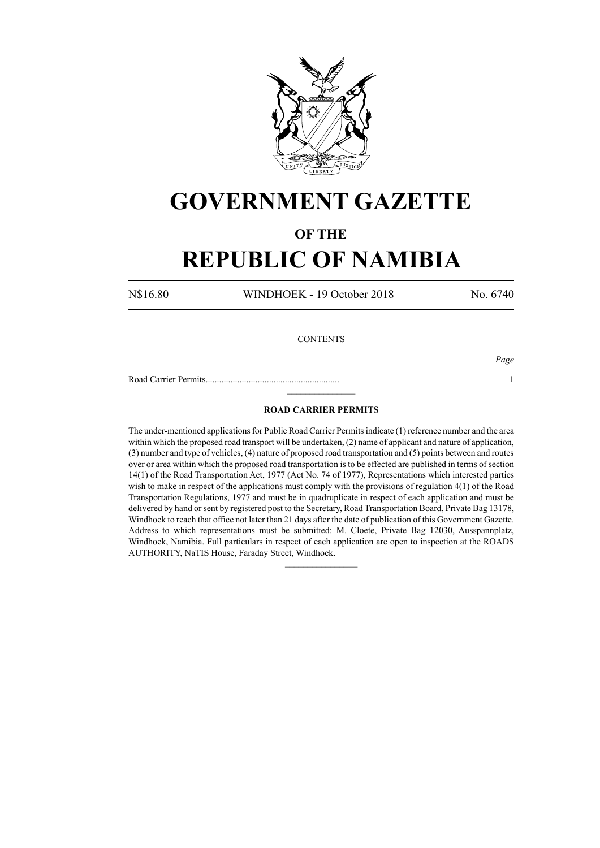

## **GOVERNMENT GAZETTE**

### **OF THE**

# **REPUBLIC OF NAMIBIA**

N\$16.80 WINDHOEK - 19 October 2018 No. 6740

### **CONTENTS**

*Page*

Road Carrier Permits........................................................... 1  $\frac{1}{2}$ 

### **ROAD CARRIER PERMITS**

The under-mentioned applications for Public Road Carrier Permits indicate (1) reference number and the area within which the proposed road transport will be undertaken, (2) name of applicant and nature of application, (3) number and type of vehicles, (4) nature of proposed road transportation and (5) points between and routes over or area within which the proposed road transportation is to be effected are published in terms of section 14(1) of the Road Transportation Act, 1977 (Act No. 74 of 1977), Representations which interested parties wish to make in respect of the applications must comply with the provisions of regulation 4(1) of the Road Transportation Regulations, 1977 and must be in quadruplicate in respect of each application and must be delivered by hand or sent by registered post to the Secretary, Road Transportation Board, Private Bag 13178, Windhoek to reach that office not later than 21 days after the date of publication of this Government Gazette. Address to which representations must be submitted: M. Cloete, Private Bag 12030, Ausspannplatz, Windhoek, Namibia. Full particulars in respect of each application are open to inspection at the ROADS AUTHORITY, NaTIS House, Faraday Street, Windhoek.

 $\frac{1}{2}$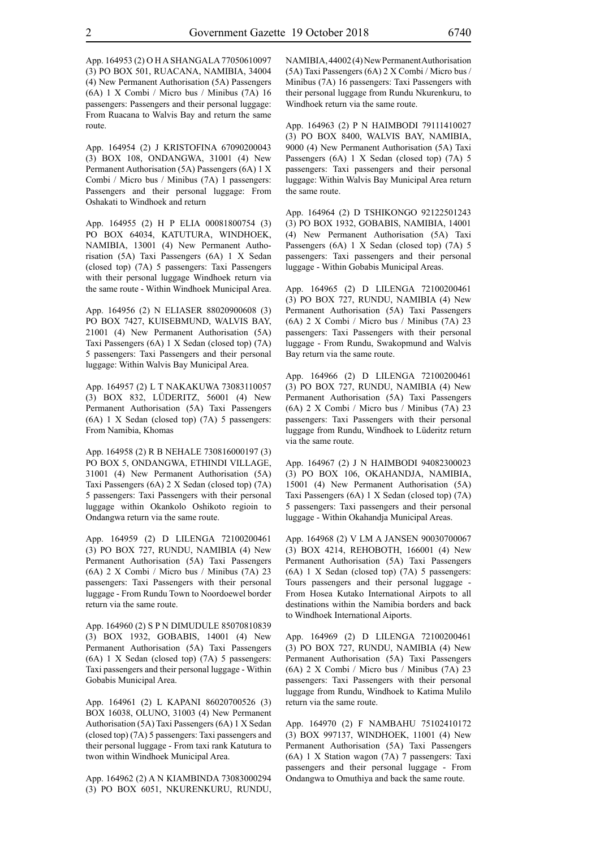App. 164953 (2) O H A SHANGALA 77050610097 (3) PO BOX 501, RUACANA, NAMIBIA, 34004 (4) New Permanent Authorisation (5A) Passengers (6A) 1 X Combi / Micro bus / Minibus (7A) 16 passengers: Passengers and their personal luggage: From Ruacana to Walvis Bay and return the same route.

App. 164954 (2) J KRISTOFINA 67090200043 (3) BOX 108, ONDANGWA, 31001 (4) New Permanent Authorisation (5A) Passengers (6A) 1 X Combi / Micro bus / Minibus (7A) 1 passengers: Passengers and their personal luggage: From Oshakati to Windhoek and return

App. 164955 (2) H P ELIA 00081800754 (3) PO BOX 64034, KATUTURA, WINDHOEK, NAMIBIA, 13001 (4) New Permanent Authorisation (5A) Taxi Passengers (6A) 1 X Sedan (closed top) (7A) 5 passengers: Taxi Passengers with their personal luggage Windhoek return via the same route - Within Windhoek Municipal Area.

App. 164956 (2) N ELIASER 88020900608 (3) PO BOX 7427, KUISEBMUND, WALVIS BAY, 21001 (4) New Permanent Authorisation (5A) Taxi Passengers (6A) 1 X Sedan (closed top) (7A) 5 passengers: Taxi Passengers and their personal luggage: Within Walvis Bay Municipal Area.

App. 164957 (2) L T NAKAKUWA 73083110057 (3) BOX 832, LÜDERITZ, 56001 (4) New Permanent Authorisation (5A) Taxi Passengers (6A) 1 X Sedan (closed top) (7A) 5 passengers: From Namibia, Khomas

App. 164958 (2) R B NEHALE 730816000197 (3) PO BOX 5, ONDANGWA, ETHINDI VILLAGE, 31001 (4) New Permanent Authorisation (5A) Taxi Passengers (6A) 2 X Sedan (closed top) (7A) 5 passengers: Taxi Passengers with their personal luggage within Okankolo Oshikoto regioin to Ondangwa return via the same route.

App. 164959 (2) D LILENGA 72100200461 (3) PO BOX 727, RUNDU, NAMIBIA (4) New Permanent Authorisation (5A) Taxi Passengers (6A) 2 X Combi / Micro bus / Minibus (7A) 23 passengers: Taxi Passengers with their personal luggage - From Rundu Town to Noordoewel border return via the same route.

App. 164960 (2) S P N DIMUDULE 85070810839 (3) BOX 1932, GOBABIS, 14001 (4) New Permanent Authorisation (5A) Taxi Passengers (6A) 1 X Sedan (closed top) (7A) 5 passengers: Taxi passengers and their personal luggage - Within Gobabis Municipal Area.

App. 164961 (2) L KAPANI 86020700526 (3) BOX 16038, OLUNO, 31003 (4) New Permanent Authorisation (5A) Taxi Passengers (6A) 1 X Sedan (closed top) (7A) 5 passengers: Taxi passengers and their personal luggage - From taxi rank Katutura to twon within Windhoek Municipal Area.

App. 164962 (2) A N KIAMBINDA 73083000294 (3) PO BOX 6051, NKURENKURU, RUNDU, NAMIBIA, 44002 (4) New Permanent Authorisation (5A) Taxi Passengers (6A) 2 X Combi / Micro bus / Minibus (7A) 16 passengers: Taxi Passengers with their personal luggage from Rundu Nkurenkuru, to Windhoek return via the same route.

App. 164963 (2) P N HAIMBODI 79111410027 (3) PO BOX 8400, WALVIS BAY, NAMIBIA, 9000 (4) New Permanent Authorisation (5A) Taxi Passengers (6A) 1 X Sedan (closed top) (7A) 5 passengers: Taxi passengers and their personal luggage: Within Walvis Bay Municipal Area return the same route.

App. 164964 (2) D TSHIKONGO 92122501243 (3) PO BOX 1932, GOBABIS, NAMIBIA, 14001 (4) New Permanent Authorisation (5A) Taxi Passengers (6A) 1 X Sedan (closed top) (7A) 5 passengers: Taxi passengers and their personal luggage - Within Gobabis Municipal Areas.

App. 164965 (2) D LILENGA 72100200461 (3) PO BOX 727, RUNDU, NAMIBIA (4) New Permanent Authorisation (5A) Taxi Passengers (6A) 2 X Combi / Micro bus / Minibus (7A) 23 passengers: Taxi Passengers with their personal luggage - From Rundu, Swakopmund and Walvis Bay return via the same route.

App. 164966 (2) D LILENGA 72100200461 (3) PO BOX 727, RUNDU, NAMIBIA (4) New Permanent Authorisation (5A) Taxi Passengers (6A) 2 X Combi / Micro bus / Minibus (7A) 23 passengers: Taxi Passengers with their personal luggage from Rundu, Windhoek to Lüderitz return via the same route.

App. 164967 (2) J N HAIMBODI 94082300023 (3) PO BOX 106, OKAHANDJA, NAMIBIA, 15001 (4) New Permanent Authorisation (5A) Taxi Passengers (6A) 1 X Sedan (closed top) (7A) 5 passengers: Taxi passengers and their personal luggage - Within Okahandja Municipal Areas.

App. 164968 (2) V LM A JANSEN 90030700067 (3) BOX 4214, REHOBOTH, 166001 (4) New Permanent Authorisation (5A) Taxi Passengers (6A) 1 X Sedan (closed top) (7A) 5 passengers: Tours passengers and their personal luggage - From Hosea Kutako International Airpots to all destinations within the Namibia borders and back to Windhoek International Aiports.

App. 164969 (2) D LILENGA 72100200461 (3) PO BOX 727, RUNDU, NAMIBIA (4) New Permanent Authorisation (5A) Taxi Passengers (6A) 2 X Combi / Micro bus / Minibus (7A) 23 passengers: Taxi Passengers with their personal luggage from Rundu, Windhoek to Katima Mulilo return via the same route.

App. 164970 (2) F NAMBAHU 75102410172 (3) BOX 997137, WINDHOEK, 11001 (4) New Permanent Authorisation (5A) Taxi Passengers (6A) 1 X Station wagon (7A) 7 passengers: Taxi passengers and their personal luggage - From Ondangwa to Omuthiya and back the same route.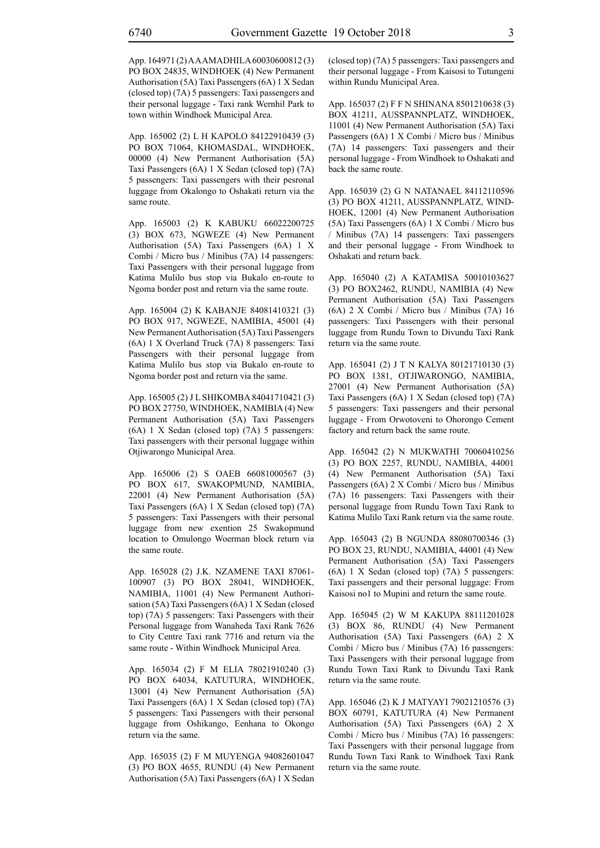App. 164971 (2) A A AMADHILA 60030600812 (3) PO BOX 24835, WINDHOEK (4) New Permanent Authorisation (5A) Taxi Passengers (6A) 1 X Sedan (closed top) (7A) 5 passengers: Taxi passengers and their personal luggage - Taxi rank Wernhil Park to town within Windhoek Municipal Area.

App. 165002 (2) L H KAPOLO 84122910439 (3) PO BOX 71064, KHOMASDAL, WINDHOEK, 00000 (4) New Permanent Authorisation (5A) Taxi Passengers (6A) 1 X Sedan (closed top) (7A) 5 passengers: Taxi passengers with their pesronal luggage from Okalongo to Oshakati return via the same route.

App. 165003 (2) K KABUKU 66022200725 (3) BOX 673, NGWEZE (4) New Permanent Authorisation (5A) Taxi Passengers (6A) 1 X Combi / Micro bus / Minibus (7A) 14 passengers: Taxi Passengers with their personal luggage from Katima Mulilo bus stop via Bukalo en-route to Ngoma border post and return via the same route.

App. 165004 (2) K KABANJE 84081410321 (3) PO BOX 917, NGWEZE, NAMIBIA, 45001 (4) New Permanent Authorisation (5A) Taxi Passengers (6A) 1 X Overland Truck (7A) 8 passengers: Taxi Passengers with their personal luggage from Katima Mulilo bus stop via Bukalo en-route to Ngoma border post and return via the same.

App. 165005 (2) J L SHIKOMBA 84041710421 (3) PO BOX 27750, WINDHOEK, NAMIBIA (4) New Permanent Authorisation (5A) Taxi Passengers (6A) 1 X Sedan (closed top) (7A) 5 passengers: Taxi passengers with their personal luggage within Otjiwarongo Municipal Area.

App. 165006 (2) S OAEB 66081000567 (3) PO BOX 617, SWAKOPMUND, NAMIBIA, 22001 (4) New Permanent Authorisation (5A) Taxi Passengers (6A) 1 X Sedan (closed top) (7A) 5 passengers: Taxi Passengers with their personal luggage from new exention 25 Swakopmund location to Omulongo Woerman block return via the same route.

App. 165028 (2) J.K. NZAMENE TAXI 87061- 100907 (3) PO BOX 28041, WINDHOEK, NAMIBIA, 11001 (4) New Permanent Authorisation (5A) Taxi Passengers (6A) 1 X Sedan (closed top) (7A) 5 passengers: Taxi Passengers with their Personal luggage from Wanaheda Taxi Rank 7626 to City Centre Taxi rank 7716 and return via the same route - Within Windhoek Municipal Area.

App. 165034 (2) F M ELIA 78021910240 (3) PO BOX 64034, KATUTURA, WINDHOEK, 13001 (4) New Permanent Authorisation (5A) Taxi Passengers (6A) 1 X Sedan (closed top) (7A) 5 passengers: Taxi Passengers with their personal luggage from Oshikango, Eenhana to Okongo return via the same.

App. 165035 (2) F M MUYENGA 94082601047 (3) PO BOX 4655, RUNDU (4) New Permanent Authorisation (5A) Taxi Passengers (6A) 1 X Sedan (closed top) (7A) 5 passengers: Taxi passengers and their personal luggage - From Kaisosi to Tutungeni within Rundu Municipal Area.

App. 165037 (2) F F N SHINANA 8501210638 (3) BOX 41211, AUSSPANNPLATZ, WINDHOEK, 11001 (4) New Permanent Authorisation (5A) Taxi Passengers (6A) 1 X Combi / Micro bus / Minibus (7A) 14 passengers: Taxi passengers and their personal luggage - From Windhoek to Oshakati and back the same route.

App. 165039 (2) G N NATANAEL 84112110596 (3) PO BOX 41211, AUSSPANNPLATZ, WIND-HOEK, 12001 (4) New Permanent Authorisation (5A) Taxi Passengers (6A) 1 X Combi / Micro bus / Minibus (7A) 14 passengers: Taxi passengers and their personal luggage - From Windhoek to Oshakati and return back.

App. 165040 (2) A KATAMISA 50010103627 (3) PO BOX2462, RUNDU, NAMIBIA (4) New Permanent Authorisation (5A) Taxi Passengers (6A) 2 X Combi / Micro bus / Minibus (7A) 16 passengers: Taxi Passengers with their personal luggage from Rundu Town to Divundu Taxi Rank return via the same route.

App. 165041 (2) J T N KALYA 80121710130 (3) PO BOX 1381, OTJIWARONGO, NAMIBIA, 27001 (4) New Permanent Authorisation (5A) Taxi Passengers (6A) 1 X Sedan (closed top) (7A) 5 passengers: Taxi passengers and their personal luggage - From Orwotoveni to Ohorongo Cement factory and return back the same route.

App. 165042 (2) N MUKWATHI 70060410256 (3) PO BOX 2257, RUNDU, NAMIBIA, 44001 (4) New Permanent Authorisation (5A) Taxi Passengers (6A) 2 X Combi / Micro bus / Minibus (7A) 16 passengers: Taxi Passengers with their personal luggage from Rundu Town Taxi Rank to Katima Mulilo Taxi Rank return via the same route.

App. 165043 (2) B NGUNDA 88080700346 (3) PO BOX 23, RUNDU, NAMIBIA, 44001 (4) New Permanent Authorisation (5A) Taxi Passengers (6A) 1 X Sedan (closed top) (7A) 5 passengers: Taxi passengers and their personal luggage: From Kaisosi no1 to Mupini and return the same route.

App. 165045 (2) W M KAKUPA 88111201028 (3) BOX 86, RUNDU (4) New Permanent Authorisation (5A) Taxi Passengers (6A) 2 X Combi / Micro bus / Minibus (7A) 16 passengers: Taxi Passengers with their personal luggage from Rundu Town Taxi Rank to Divundu Taxi Rank return via the same route.

App. 165046 (2) K J MATYAYI 79021210576 (3) BOX 60791, KATUTURA (4) New Permanent Authorisation (5A) Taxi Passengers (6A) 2 X Combi / Micro bus / Minibus (7A) 16 passengers: Taxi Passengers with their personal luggage from Rundu Town Taxi Rank to Windhoek Taxi Rank return via the same route.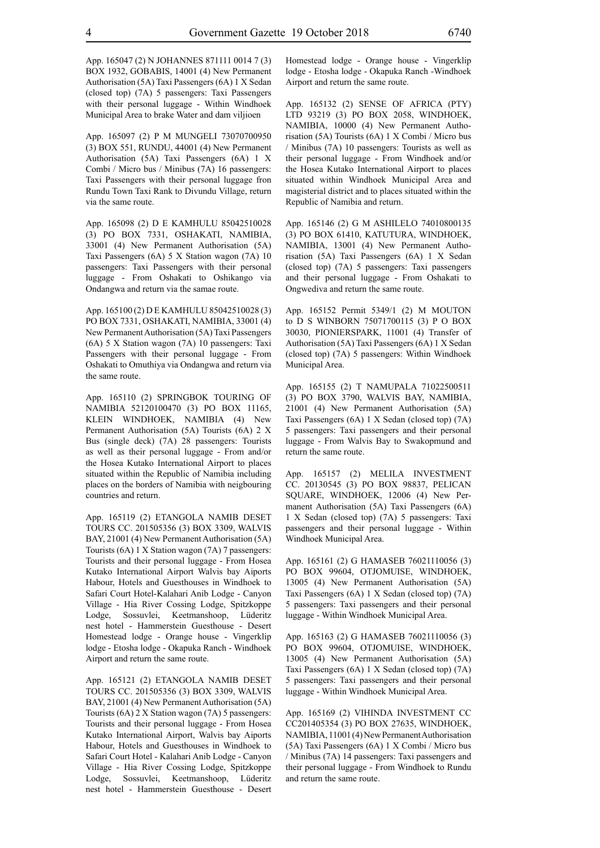App. 165047 (2) N JOHANNES 871111 0014 7 (3) BOX 1932, GOBABIS, 14001 (4) New Permanent Authorisation (5A) Taxi Passengers (6A) 1 X Sedan (closed top) (7A) 5 passengers: Taxi Passengers with their personal luggage - Within Windhoek Municipal Area to brake Water and dam viljioen

App. 165097 (2) P M MUNGELI 73070700950 (3) BOX 551, RUNDU, 44001 (4) New Permanent Authorisation (5A) Taxi Passengers (6A) 1 X Combi / Micro bus / Minibus (7A) 16 passengers: Taxi Passengers with their personal luggage fron Rundu Town Taxi Rank to Divundu Village, return via the same route.

App. 165098 (2) D E KAMHULU 85042510028 (3) PO BOX 7331, OSHAKATI, NAMIBIA, 33001 (4) New Permanent Authorisation (5A) Taxi Passengers (6A) 5 X Station wagon (7A) 10 passengers: Taxi Passengers with their personal luggage - From Oshakati to Oshikango via Ondangwa and return via the samae route.

App. 165100 (2) D E KAMHULU 85042510028 (3) PO BOX 7331, OSHAKATI, NAMIBIA, 33001 (4) New Permanent Authorisation (5A) Taxi Passengers (6A) 5 X Station wagon (7A) 10 passengers: Taxi Passengers with their personal luggage - From Oshakati to Omuthiya via Ondangwa and return via the same route.

App. 165110 (2) SPRINGBOK TOURING OF NAMIBIA 52120100470 (3) PO BOX 11165, KLEIN WINDHOEK, NAMIBIA (4) New Permanent Authorisation (5A) Tourists (6A) 2 X Bus (single deck) (7A) 28 passengers: Tourists as well as their personal luggage - From and/or the Hosea Kutako International Airport to places situated within the Republic of Namibia including places on the borders of Namibia with neigbouring countries and return.

App. 165119 (2) ETANGOLA NAMIB DESET TOURS CC. 201505356 (3) BOX 3309, WALVIS BAY, 21001 (4) New Permanent Authorisation (5A) Tourists (6A) 1 X Station wagon (7A) 7 passengers: Tourists and their personal luggage - From Hosea Kutako International Airport Walvis bay Aiports Habour, Hotels and Guesthouses in Windhoek to Safari Court Hotel-Kalahari Anib Lodge - Canyon Village - Hia River Cossing Lodge, Spitzkoppe Lodge, Sossuvlei, Keetmanshoop, Lüderitz nest hotel - Hammerstein Guesthouse - Desert Homestead lodge - Orange house - Vingerklip lodge - Etosha lodge - Okapuka Ranch - Windhoek Airport and return the same route.

App. 165121 (2) ETANGOLA NAMIB DESET TOURS CC. 201505356 (3) BOX 3309, WALVIS BAY, 21001 (4) New Permanent Authorisation (5A) Tourists (6A) 2 X Station wagon (7A) 5 passengers: Tourists and their personal luggage - From Hosea Kutako International Airport, Walvis bay Aiports Habour, Hotels and Guesthouses in Windhoek to Safari Court Hotel - Kalahari Anib Lodge - Canyon Village - Hia River Cossing Lodge, Spitzkoppe Lodge, Sossuvlei, Keetmanshoop, Lüderitz nest hotel - Hammerstein Guesthouse - Desert Homestead lodge - Orange house - Vingerklip lodge - Etosha lodge - Okapuka Ranch -Windhoek Airport and return the same route.

App. 165132 (2) SENSE OF AFRICA (PTY) LTD 93219 (3) PO BOX 2058, WINDHOEK, NAMIBIA, 10000 (4) New Permanent Authorisation (5A) Tourists (6A) 1 X Combi / Micro bus / Minibus (7A) 10 passengers: Tourists as well as their personal luggage - From Windhoek and/or the Hosea Kutako International Airport to places situated within Windhoek Municipal Area and magisterial district and to places situated within the Republic of Namibia and return.

App. 165146 (2) G M ASHILELO 74010800135 (3) PO BOX 61410, KATUTURA, WINDHOEK, NAMIBIA, 13001 (4) New Permanent Authorisation (5A) Taxi Passengers (6A) 1 X Sedan (closed top) (7A) 5 passengers: Taxi passengers and their personal luggage - From Oshakati to Ongwediva and return the same route.

App. 165152 Permit 5349/1 (2) M MOUTON to D S WINBORN 75071700115 (3) P O BOX 30030, PIONIERSPARK, 11001 (4) Transfer of Authorisation (5A) Taxi Passengers (6A) 1 X Sedan (closed top) (7A) 5 passengers: Within Windhoek Municipal Area.

App. 165155 (2) T NAMUPALA 71022500511 (3) PO BOX 3790, WALVIS BAY, NAMIBIA, 21001 (4) New Permanent Authorisation (5A) Taxi Passengers (6A) 1 X Sedan (closed top) (7A) 5 passengers: Taxi passengers and their personal luggage - From Walvis Bay to Swakopmund and return the same route.

App. 165157 (2) MELILA INVESTMENT CC. 20130545 (3) PO BOX 98837, PELICAN SQUARE, WINDHOEK, 12006 (4) New Permanent Authorisation (5A) Taxi Passengers (6A) 1 X Sedan (closed top) (7A) 5 passengers: Taxi passengers and their personal luggage - Within Windhoek Municipal Area.

App. 165161 (2) G HAMASEB 76021110056 (3) PO BOX 99604, OTJOMUISE, WINDHOEK, 13005 (4) New Permanent Authorisation (5A) Taxi Passengers (6A) 1 X Sedan (closed top) (7A) 5 passengers: Taxi passengers and their personal luggage - Within Windhoek Municipal Area.

App. 165163 (2) G HAMASEB 76021110056 (3) PO BOX 99604, OTJOMUISE, WINDHOEK, 13005 (4) New Permanent Authorisation (5A) Taxi Passengers (6A) 1 X Sedan (closed top) (7A) 5 passengers: Taxi passengers and their personal luggage - Within Windhoek Municipal Area.

App. 165169 (2) VIHINDA INVESTMENT CC CC201405354 (3) PO BOX 27635, WINDHOEK, NAMIBIA, 11001 (4) New Permanent Authorisation (5A) Taxi Passengers (6A) 1 X Combi / Micro bus / Minibus (7A) 14 passengers: Taxi passengers and their personal luggage - From Windhoek to Rundu and return the same route.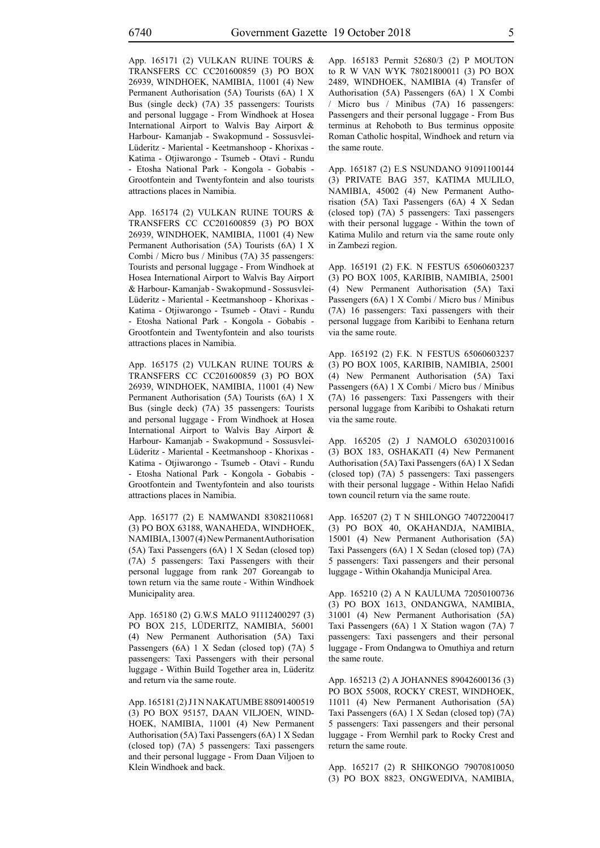App. 165171 (2) VULKAN RUINE TOURS & TRANSFERS CC CC201600859 (3) PO BOX 26939, WINDHOEK, NAMIBIA, 11001 (4) New Permanent Authorisation (5A) Tourists (6A) 1 X Bus (single deck) (7A) 35 passengers: Tourists and personal luggage - From Windhoek at Hosea International Airport to Walvis Bay Airport & Harbour- Kamanjab - Swakopmund - Sossusvlei-Lüderitz - Mariental - Keetmanshoop - Khorixas - Katima - Otjiwarongo - Tsumeb - Otavi - Rundu - Etosha National Park - Kongola - Gobabis - Grootfontein and Twentyfontein and also tourists attractions places in Namibia.

App. 165174 (2) VULKAN RUINE TOURS & TRANSFERS CC CC201600859 (3) PO BOX 26939, WINDHOEK, NAMIBIA, 11001 (4) New Permanent Authorisation (5A) Tourists (6A) 1 X Combi / Micro bus / Minibus (7A) 35 passengers: Tourists and personal luggage - From Windhoek at Hosea International Airport to Walvis Bay Airport & Harbour- Kamanjab - Swakopmund - Sossusvlei-Lüderitz - Mariental - Keetmanshoop - Khorixas - Katima - Otjiwarongo - Tsumeb - Otavi - Rundu - Etosha National Park - Kongola - Gobabis - Grootfontein and Twentyfontein and also tourists attractions places in Namibia.

App. 165175 (2) VULKAN RUINE TOURS & TRANSFERS CC CC201600859 (3) PO BOX 26939, WINDHOEK, NAMIBIA, 11001 (4) New Permanent Authorisation (5A) Tourists (6A) 1 X Bus (single deck) (7A) 35 passengers: Tourists and personal luggage - From Windhoek at Hosea International Airport to Walvis Bay Airport & Harbour- Kamanjab - Swakopmund - Sossusvlei-Lüderitz - Mariental - Keetmanshoop - Khorixas - Katima - Otjiwarongo - Tsumeb - Otavi - Rundu - Etosha National Park - Kongola - Gobabis - Grootfontein and Twentyfontein and also tourists attractions places in Namibia.

App. 165177 (2) E NAMWANDI 83082110681 (3) PO BOX 63188, WANAHEDA, WINDHOEK, NAMIBIA, 13007 (4) New Permanent Authorisation (5A) Taxi Passengers (6A) 1 X Sedan (closed top) (7A) 5 passengers: Taxi Passengers with their personal luggage from rank 207 Goreangab to town return via the same route - Within Windhoek Municipality area.

App. 165180 (2) G.W.S MALO 91112400297 (3) PO BOX 215, LÜDERITZ, NAMIBIA, 56001 (4) New Permanent Authorisation (5A) Taxi Passengers (6A) 1 X Sedan (closed top) (7A) 5 passengers: Taxi Passengers with their personal luggage - Within Build Together area in, Lüderitz and return via the same route.

App. 165181 (2) J I N NAKATUMBE 88091400519 (3) PO BOX 95157, DAAN VILJOEN, WIND-HOEK, NAMIBIA, 11001 (4) New Permanent Authorisation (5A) Taxi Passengers (6A) 1 X Sedan (closed top) (7A) 5 passengers: Taxi passengers and their personal luggage - From Daan Viljoen to Klein Windhoek and back.

App. 165183 Permit 52680/3 (2) P MOUTON to R W VAN WYK 78021800011 (3) PO BOX 2489, WINDHOEK, NAMIBIA (4) Transfer of Authorisation (5A) Passengers (6A) 1 X Combi / Micro bus / Minibus (7A) 16 passengers: Passengers and their personal luggage - From Bus terminus at Rehoboth to Bus terminus opposite Roman Catholic hospital, Windhoek and return via the same route.

App. 165187 (2) E.S NSUNDANO 91091100144 (3) PRIVATE BAG 357, KATIMA MULILO, NAMIBIA, 45002 (4) New Permanent Authorisation (5A) Taxi Passengers (6A) 4 X Sedan (closed top) (7A) 5 passengers: Taxi passengers with their personal luggage - Within the town of Katima Mulilo and return via the same route only in Zambezi region.

App. 165191 (2) F.K. N FESTUS 65060603237 (3) PO BOX 1005, KARIBIB, NAMIBIA, 25001 (4) New Permanent Authorisation (5A) Taxi Passengers (6A) 1 X Combi / Micro bus / Minibus (7A) 16 passengers: Taxi passengers with their personal luggage from Karibibi to Eenhana return via the same route.

App. 165192 (2) F.K. N FESTUS 65060603237 (3) PO BOX 1005, KARIBIB, NAMIBIA, 25001 (4) New Permanent Authorisation (5A) Taxi Passengers (6A) 1 X Combi / Micro bus / Minibus (7A) 16 passengers: Taxi Passengers with their personal luggage from Karibibi to Oshakati return via the same route.

App. 165205 (2) J NAMOLO 63020310016 (3) BOX 183, OSHAKATI (4) New Permanent Authorisation (5A) Taxi Passengers (6A) 1 X Sedan (closed top) (7A) 5 passengers: Taxi passengers with their personal luggage - Within Helao Nafidi town council return via the same route.

App. 165207 (2) T N SHILONGO 74072200417 (3) PO BOX 40, OKAHANDJA, NAMIBIA, 15001 (4) New Permanent Authorisation (5A) Taxi Passengers (6A) 1 X Sedan (closed top) (7A) 5 passengers: Taxi passengers and their personal luggage - Within Okahandja Municipal Area.

App. 165210 (2) A N KAULUMA 72050100736 (3) PO BOX 1613, ONDANGWA, NAMIBIA, 31001 (4) New Permanent Authorisation (5A) Taxi Passengers (6A) 1 X Station wagon (7A) 7 passengers: Taxi passengers and their personal luggage - From Ondangwa to Omuthiya and return the same route.

App. 165213 (2) A JOHANNES 89042600136 (3) PO BOX 55008, ROCKY CREST, WINDHOEK, 11011 (4) New Permanent Authorisation (5A) Taxi Passengers (6A) 1 X Sedan (closed top) (7A) 5 passengers: Taxi passengers and their personal luggage - From Wernhil park to Rocky Crest and return the same route.

App. 165217 (2) R SHIKONGO 79070810050 (3) PO BOX 8823, ONGWEDIVA, NAMIBIA,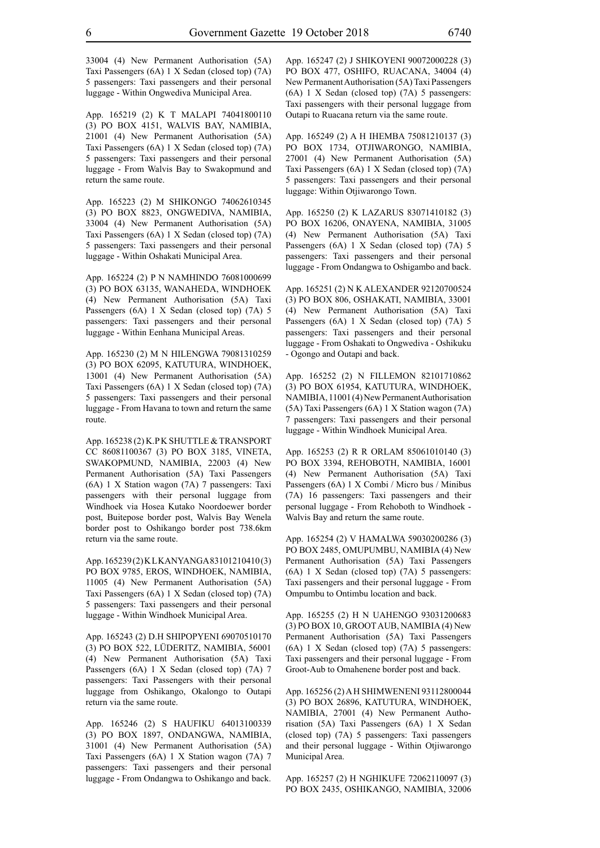33004 (4) New Permanent Authorisation (5A) Taxi Passengers (6A) 1 X Sedan (closed top) (7A) 5 passengers: Taxi passengers and their personal luggage - Within Ongwediva Municipal Area.

App. 165219 (2) K T MALAPI 74041800110 (3) PO BOX 4151, WALVIS BAY, NAMIBIA, 21001 (4) New Permanent Authorisation (5A) Taxi Passengers (6A) 1 X Sedan (closed top) (7A) 5 passengers: Taxi passengers and their personal luggage - From Walvis Bay to Swakopmund and return the same route.

App. 165223 (2) M SHIKONGO 74062610345 (3) PO BOX 8823, ONGWEDIVA, NAMIBIA, 33004 (4) New Permanent Authorisation (5A) Taxi Passengers (6A) 1 X Sedan (closed top) (7A) 5 passengers: Taxi passengers and their personal luggage - Within Oshakati Municipal Area.

App. 165224 (2) P N NAMHINDO 76081000699 (3) PO BOX 63135, WANAHEDA, WINDHOEK (4) New Permanent Authorisation (5A) Taxi Passengers (6A) 1 X Sedan (closed top) (7A) 5 passengers: Taxi passengers and their personal luggage - Within Eenhana Municipal Areas.

App. 165230 (2) M N HILENGWA 79081310259 (3) PO BOX 62095, KATUTURA, WINDHOEK, 13001 (4) New Permanent Authorisation (5A) Taxi Passengers (6A) 1 X Sedan (closed top) (7A) 5 passengers: Taxi passengers and their personal luggage - From Havana to town and return the same route.

App. 165238 (2) K.P K SHUTTLE & TRANSPORT CC 86081100367 (3) PO BOX 3185, VINETA, SWAKOPMUND, NAMIBIA, 22003 (4) New Permanent Authorisation (5A) Taxi Passengers (6A) 1 X Station wagon (7A) 7 passengers: Taxi passengers with their personal luggage from Windhoek via Hosea Kutako Noordoewer border post, Buitepose border post, Walvis Bay Wenela border post to Oshikango border post 738.6km return via the same route.

App. 165239 (2) K L KANYANGA 83101210410 (3) PO BOX 9785, EROS, WINDHOEK, NAMIBIA, 11005 (4) New Permanent Authorisation (5A) Taxi Passengers (6A) 1 X Sedan (closed top) (7A) 5 passengers: Taxi passengers and their personal luggage - Within Windhoek Municipal Area.

App. 165243 (2) D.H SHIPOPYENI 69070510170 (3) PO BOX 522, LÜDERITZ, NAMIBIA, 56001 (4) New Permanent Authorisation (5A) Taxi Passengers (6A) 1 X Sedan (closed top) (7A) 7 passengers: Taxi Passengers with their personal luggage from Oshikango, Okalongo to Outapi return via the same route.

App. 165246 (2) S HAUFIKU 64013100339 (3) PO BOX 1897, ONDANGWA, NAMIBIA, 31001 (4) New Permanent Authorisation (5A) Taxi Passengers (6A) 1 X Station wagon (7A) 7 passengers: Taxi passengers and their personal luggage - From Ondangwa to Oshikango and back.

App. 165247 (2) J SHIKOYENI 90072000228 (3) PO BOX 477, OSHIFO, RUACANA, 34004 (4) New Permanent Authorisation (5A) Taxi Passengers (6A) 1 X Sedan (closed top) (7A) 5 passengers: Taxi passengers with their personal luggage from Outapi to Ruacana return via the same route.

App. 165249 (2) A H IHEMBA 75081210137 (3) PO BOX 1734, OTJIWARONGO, NAMIBIA, 27001 (4) New Permanent Authorisation (5A) Taxi Passengers (6A) 1 X Sedan (closed top) (7A) 5 passengers: Taxi passengers and their personal luggage: Within Otjiwarongo Town.

App. 165250 (2) K LAZARUS 83071410182 (3) PO BOX 16206, ONAYENA, NAMIBIA, 31005 (4) New Permanent Authorisation (5A) Taxi Passengers (6A) 1 X Sedan (closed top) (7A) 5 passengers: Taxi passengers and their personal luggage - From Ondangwa to Oshigambo and back.

App. 165251 (2) N K ALEXANDER 92120700524 (3) PO BOX 806, OSHAKATI, NAMIBIA, 33001 (4) New Permanent Authorisation (5A) Taxi Passengers (6A) 1 X Sedan (closed top) (7A) 5 passengers: Taxi passengers and their personal luggage - From Oshakati to Ongwediva - Oshikuku - Ogongo and Outapi and back.

App. 165252 (2) N FILLEMON 82101710862 (3) PO BOX 61954, KATUTURA, WINDHOEK, NAMIBIA, 11001 (4) New Permanent Authorisation (5A) Taxi Passengers (6A) 1 X Station wagon (7A) 7 passengers: Taxi passengers and their personal luggage - Within Windhoek Municipal Area.

App. 165253 (2) R R ORLAM 85061010140 (3) PO BOX 3394, REHOBOTH, NAMIBIA, 16001 (4) New Permanent Authorisation (5A) Taxi Passengers (6A) 1 X Combi / Micro bus / Minibus (7A) 16 passengers: Taxi passengers and their personal luggage - From Rehoboth to Windhoek - Walvis Bay and return the same route.

App. 165254 (2) V HAMALWA 59030200286 (3) PO BOX 2485, OMUPUMBU, NAMIBIA (4) New Permanent Authorisation (5A) Taxi Passengers (6A) 1 X Sedan (closed top) (7A) 5 passengers: Taxi passengers and their personal luggage - From Ompumbu to Ontimbu location and back.

App. 165255 (2) H N UAHENGO 93031200683 (3) PO BOX 10, GROOT AUB, NAMIBIA (4) New Permanent Authorisation (5A) Taxi Passengers (6A) 1 X Sedan (closed top) (7A) 5 passengers: Taxi passengers and their personal luggage - From Groot-Aub to Omahenene border post and back.

App. 165256 (2) A H SHIMWENENI 93112800044 (3) PO BOX 26896, KATUTURA, WINDHOEK, NAMIBIA, 27001 (4) New Permanent Authorisation (5A) Taxi Passengers (6A) 1 X Sedan (closed top) (7A) 5 passengers: Taxi passengers and their personal luggage - Within Otjiwarongo Municipal Area.

App. 165257 (2) H NGHIKUFE 72062110097 (3) PO BOX 2435, OSHIKANGO, NAMIBIA, 32006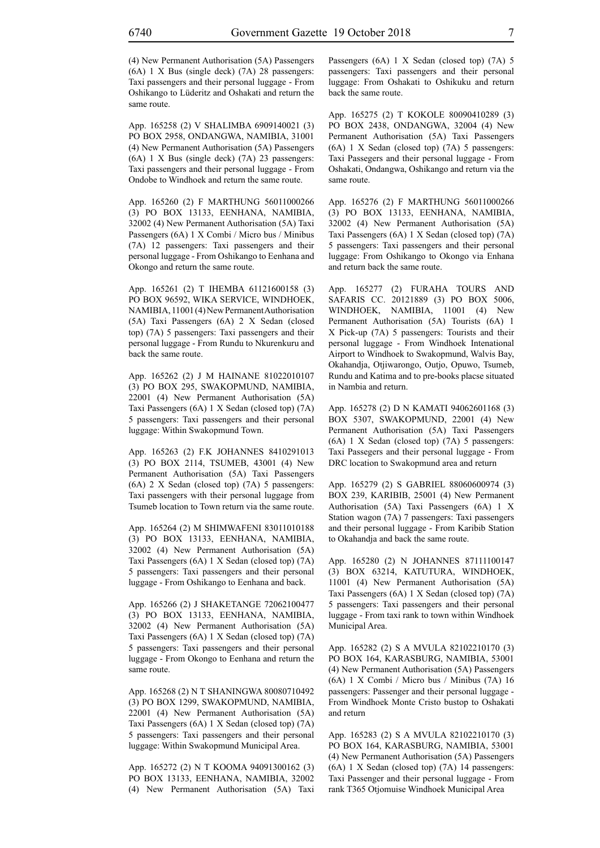(4) New Permanent Authorisation (5A) Passengers (6A) 1 X Bus (single deck) (7A) 28 passengers: Taxi passengers and their personal luggage - From Oshikango to Lüderitz and Oshakati and return the same route.

App. 165258 (2) V SHALIMBA 6909140021 (3) PO BOX 2958, ONDANGWA, NAMIBIA, 31001 (4) New Permanent Authorisation (5A) Passengers (6A) 1 X Bus (single deck) (7A) 23 passengers: Taxi passengers and their personal luggage - From Ondobe to Windhoek and return the same route.

App. 165260 (2) F MARTHUNG 56011000266 (3) PO BOX 13133, EENHANA, NAMIBIA, 32002 (4) New Permanent Authorisation (5A) Taxi Passengers (6A) 1 X Combi / Micro bus / Minibus (7A) 12 passengers: Taxi passengers and their personal luggage - From Oshikango to Eenhana and Okongo and return the same route.

App. 165261 (2) T IHEMBA 61121600158 (3) PO BOX 96592, WIKA SERVICE, WINDHOEK, NAMIBIA, 11001 (4) New Permanent Authorisation (5A) Taxi Passengers (6A) 2 X Sedan (closed top) (7A) 5 passengers: Taxi passengers and their personal luggage - From Rundu to Nkurenkuru and back the same route.

App. 165262 (2) J M HAINANE 81022010107 (3) PO BOX 295, SWAKOPMUND, NAMIBIA, 22001 (4) New Permanent Authorisation (5A) Taxi Passengers (6A) 1 X Sedan (closed top) (7A) 5 passengers: Taxi passengers and their personal luggage: Within Swakopmund Town.

App. 165263 (2) F.K JOHANNES 8410291013 (3) PO BOX 2114, TSUMEB, 43001 (4) New Permanent Authorisation (5A) Taxi Passengers (6A) 2 X Sedan (closed top) (7A) 5 passengers: Taxi passengers with their personal luggage from Tsumeb location to Town return via the same route.

App. 165264 (2) M SHIMWAFENI 83011010188 (3) PO BOX 13133, EENHANA, NAMIBIA, 32002 (4) New Permanent Authorisation (5A) Taxi Passengers (6A) 1 X Sedan (closed top) (7A) 5 passengers: Taxi passengers and their personal luggage - From Oshikango to Eenhana and back.

App. 165266 (2) J SHAKETANGE 72062100477 (3) PO BOX 13133, EENHANA, NAMIBIA, 32002 (4) New Permanent Authorisation (5A) Taxi Passengers (6A) 1 X Sedan (closed top) (7A) 5 passengers: Taxi passengers and their personal luggage - From Okongo to Eenhana and return the same route.

App. 165268 (2) N T SHANINGWA 80080710492 (3) PO BOX 1299, SWAKOPMUND, NAMIBIA, 22001 (4) New Permanent Authorisation (5A) Taxi Passengers (6A) 1 X Sedan (closed top) (7A) 5 passengers: Taxi passengers and their personal luggage: Within Swakopmund Municipal Area.

App. 165272 (2) N T KOOMA 94091300162 (3) PO BOX 13133, EENHANA, NAMIBIA, 32002 (4) New Permanent Authorisation (5A) Taxi Passengers (6A) 1 X Sedan (closed top) (7A) 5 passengers: Taxi passengers and their personal luggage: From Oshakati to Oshikuku and return back the same route.

App. 165275 (2) T KOKOLE 80090410289 (3) PO BOX 2438, ONDANGWA, 32004 (4) New Permanent Authorisation (5A) Taxi Passengers (6A) 1 X Sedan (closed top) (7A) 5 passengers: Taxi Passegers and their personal luggage - From Oshakati, Ondangwa, Oshikango and return via the same route.

App. 165276 (2) F MARTHUNG 56011000266 (3) PO BOX 13133, EENHANA, NAMIBIA, 32002 (4) New Permanent Authorisation (5A) Taxi Passengers (6A) 1 X Sedan (closed top) (7A) 5 passengers: Taxi passengers and their personal luggage: From Oshikango to Okongo via Enhana and return back the same route.

App. 165277 (2) FURAHA TOURS AND SAFARIS CC. 20121889 (3) PO BOX 5006, WINDHOEK, NAMIBIA, 11001 (4) New Permanent Authorisation (5A) Tourists (6A) 1 X Pick-up (7A) 5 passengers: Tourists and their personal luggage - From Windhoek Intenational Airport to Windhoek to Swakopmund, Walvis Bay, Okahandja, Otjiwarongo, Outjo, Opuwo, Tsumeb, Rundu and Katima and to pre-books placse situated in Nambia and return.

App. 165278 (2) D N KAMATI 94062601168 (3) BOX 5307, SWAKOPMUND, 22001 (4) New Permanent Authorisation (5A) Taxi Passengers (6A) 1 X Sedan (closed top) (7A) 5 passengers: Taxi Passegers and their personal luggage - From DRC location to Swakopmund area and return

App. 165279 (2) S GABRIEL 88060600974 (3) BOX 239, KARIBIB, 25001 (4) New Permanent Authorisation (5A) Taxi Passengers (6A) 1 X Station wagon (7A) 7 passengers: Taxi passengers and their personal luggage - From Karibib Station to Okahandja and back the same route.

App. 165280 (2) N JOHANNES 87111100147 (3) BOX 63214, KATUTURA, WINDHOEK, 11001 (4) New Permanent Authorisation (5A) Taxi Passengers (6A) 1 X Sedan (closed top) (7A) 5 passengers: Taxi passengers and their personal luggage - From taxi rank to town within Windhoek Municipal Area.

App. 165282 (2) S A MVULA 82102210170 (3) PO BOX 164, KARASBURG, NAMIBIA, 53001 (4) New Permanent Authorisation (5A) Passengers (6A) 1 X Combi / Micro bus / Minibus (7A) 16 passengers: Passenger and their personal luggage - From Windhoek Monte Cristo bustop to Oshakati and return

App. 165283 (2) S A MVULA 82102210170 (3) PO BOX 164, KARASBURG, NAMIBIA, 53001 (4) New Permanent Authorisation (5A) Passengers (6A) 1 X Sedan (closed top) (7A) 14 passengers: Taxi Passenger and their personal luggage - From rank T365 Otjomuise Windhoek Municipal Area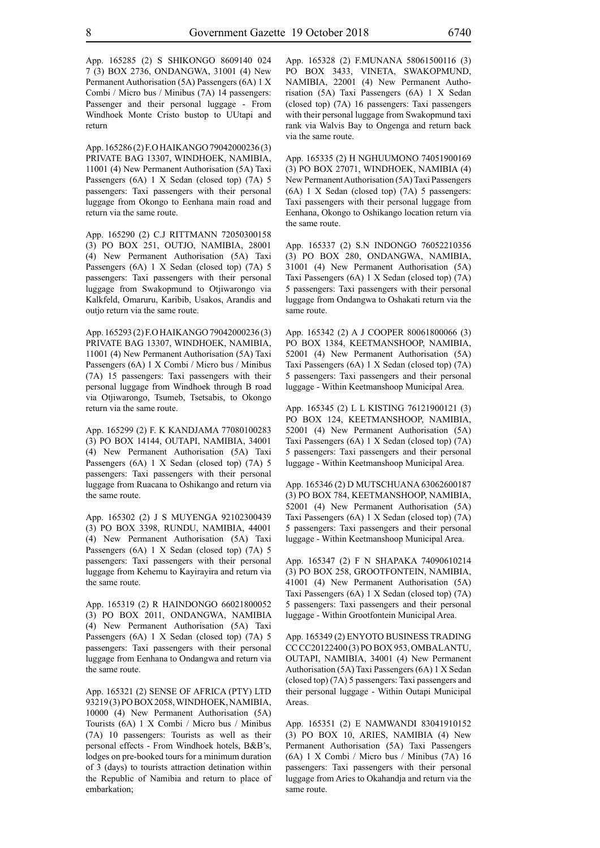App. 165285 (2) S SHIKONGO 8609140 024 7 (3) BOX 2736, ONDANGWA, 31001 (4) New Permanent Authorisation (5A) Passengers (6A) 1 X Combi / Micro bus / Minibus (7A) 14 passengers: Passenger and their personal luggage - From Windhoek Monte Cristo bustop to UUtapi and return

App. 165286 (2) F.O HAIKANGO 79042000236 (3) PRIVATE BAG 13307, WINDHOEK, NAMIBIA, 11001 (4) New Permanent Authorisation (5A) Taxi Passengers (6A) 1 X Sedan (closed top) (7A) 5 passengers: Taxi passengers with their personal luggage from Okongo to Eenhana main road and return via the same route.

App. 165290 (2) C.J RITTMANN 72050300158 (3) PO BOX 251, OUTJO, NAMIBIA, 28001 (4) New Permanent Authorisation (5A) Taxi Passengers (6A) 1 X Sedan (closed top) (7A) 5 passengers: Taxi passengers with their personal luggage from Swakopmund to Otiiwarongo via Kalkfeld, Omaruru, Karibib, Usakos, Arandis and outjo return via the same route.

App. 165293 (2) F.O HAIKANGO 79042000236 (3) PRIVATE BAG 13307, WINDHOEK, NAMIBIA, 11001 (4) New Permanent Authorisation (5A) Taxi Passengers (6A) 1 X Combi / Micro bus / Minibus (7A) 15 passengers: Taxi passengers with their personal luggage from Windhoek through B road via Otjiwarongo, Tsumeb, Tsetsabis, to Okongo return via the same route.

App. 165299 (2) F. K KANDJAMA 77080100283 (3) PO BOX 14144, OUTAPI, NAMIBIA, 34001 (4) New Permanent Authorisation (5A) Taxi Passengers (6A) 1 X Sedan (closed top) (7A) 5 passengers: Taxi passengers with their personal luggage from Ruacana to Oshikango and return via the same route.

App. 165302 (2) J S MUYENGA 92102300439 (3) PO BOX 3398, RUNDU, NAMIBIA, 44001 (4) New Permanent Authorisation (5A) Taxi Passengers (6A) 1 X Sedan (closed top) (7A) 5 passengers: Taxi passengers with their personal luggage from Kehemu to Kayirayira and return via the same route.

App. 165319 (2) R HAINDONGO 66021800052 (3) PO BOX 2011, ONDANGWA, NAMIBIA (4) New Permanent Authorisation (5A) Taxi Passengers (6A) 1 X Sedan (closed top) (7A) 5 passengers: Taxi passengers with their personal luggage from Eenhana to Ondangwa and return via the same route.

App. 165321 (2) SENSE OF AFRICA (PTY) LTD 93219 (3) PO BOX 2058, WINDHOEK, NAMIBIA, 10000 (4) New Permanent Authorisation (5A) Tourists (6A) 1 X Combi / Micro bus / Minibus (7A) 10 passengers: Tourists as well as their personal effects - From Windhoek hotels, B&B's, lodges on pre-booked tours for a minimum duration of 3 (days) to tourists attraction detination within the Republic of Namibia and return to place of embarkation;

App. 165328 (2) F.MUNANA 58061500116 (3) PO BOX 3433, VINETA, SWAKOPMUND, NAMIBIA, 22001 (4) New Permanent Authorisation (5A) Taxi Passengers (6A) 1 X Sedan (closed top) (7A) 16 passengers: Taxi passengers with their personal luggage from Swakopmund taxi rank via Walvis Bay to Ongenga and return back via the same route.

App. 165335 (2) H NGHUUMONO 74051900169 (3) PO BOX 27071, WINDHOEK, NAMIBIA (4) New Permanent Authorisation (5A) Taxi Passengers (6A) 1 X Sedan (closed top) (7A) 5 passengers: Taxi passengers with their personal luggage from Eenhana, Okongo to Oshikango location return via the same route.

App. 165337 (2) S.N INDONGO 76052210356 (3) PO BOX 280, ONDANGWA, NAMIBIA, 31001 (4) New Permanent Authorisation (5A) Taxi Passengers (6A) 1 X Sedan (closed top) (7A) 5 passengers: Taxi passengers with their personal luggage from Ondangwa to Oshakati return via the same route.

App. 165342 (2) A J COOPER 80061800066 (3) PO BOX 1384, KEETMANSHOOP, NAMIBIA, 52001 (4) New Permanent Authorisation (5A) Taxi Passengers (6A) 1 X Sedan (closed top) (7A) 5 passengers: Taxi passengers and their personal luggage - Within Keetmanshoop Municipal Area.

App. 165345 (2) L L KISTING 76121900121 (3) PO BOX 124, KEETMANSHOOP, NAMIBIA, 52001 (4) New Permanent Authorisation (5A) Taxi Passengers (6A) 1 X Sedan (closed top) (7A) 5 passengers: Taxi passengers and their personal luggage - Within Keetmanshoop Municipal Area.

App. 165346 (2) D MUTSCHUANA 63062600187 (3) PO BOX 784, KEETMANSHOOP, NAMIBIA, 52001 (4) New Permanent Authorisation (5A) Taxi Passengers (6A) 1 X Sedan (closed top) (7A) 5 passengers: Taxi passengers and their personal luggage - Within Keetmanshoop Municipal Area.

App. 165347 (2) F N SHAPAKA 74090610214 (3) PO BOX 258, GROOTFONTEIN, NAMIBIA, 41001 (4) New Permanent Authorisation (5A) Taxi Passengers (6A) 1 X Sedan (closed top) (7A) 5 passengers: Taxi passengers and their personal luggage - Within Grootfontein Municipal Area.

App. 165349 (2) ENYOTO BUSINESS TRADING CC CC20122400 (3) PO BOX 953, OMBALANTU, OUTAPI, NAMIBIA, 34001 (4) New Permanent Authorisation (5A) Taxi Passengers (6A) 1 X Sedan (closed top) (7A) 5 passengers: Taxi passengers and their personal luggage - Within Outapi Municipal Areas.

App. 165351 (2) E NAMWANDI 83041910152 (3) PO BOX 10, ARIES, NAMIBIA (4) New Permanent Authorisation (5A) Taxi Passengers (6A) 1 X Combi / Micro bus / Minibus (7A) 16 passengers: Taxi passengers with their personal luggage from Aries to Okahandja and return via the same route.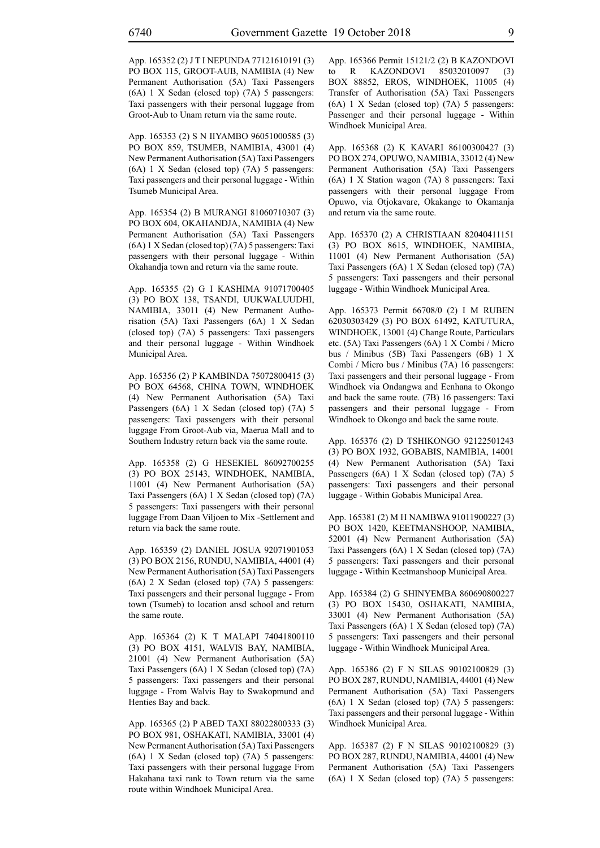App. 165352 (2) J T I NEPUNDA 77121610191 (3) PO BOX 115, GROOT-AUB, NAMIBIA (4) New Permanent Authorisation (5A) Taxi Passengers (6A) 1 X Sedan (closed top) (7A) 5 passengers: Taxi passengers with their personal luggage from Groot-Aub to Unam return via the same route.

App. 165353 (2) S N IIYAMBO 96051000585 (3) PO BOX 859, TSUMEB, NAMIBIA, 43001 (4) New Permanent Authorisation (5A) Taxi Passengers (6A) 1 X Sedan (closed top) (7A) 5 passengers: Taxi passengers and their personal luggage - Within Tsumeb Municipal Area.

App. 165354 (2) B MURANGI 81060710307 (3) PO BOX 604, OKAHANDJA, NAMIBIA (4) New Permanent Authorisation (5A) Taxi Passengers (6A) 1 X Sedan (closed top) (7A) 5 passengers: Taxi passengers with their personal luggage - Within Okahandja town and return via the same route.

App. 165355 (2) G I KASHIMA 91071700405 (3) PO BOX 138, TSANDI, UUKWALUUDHI, NAMIBIA, 33011 (4) New Permanent Authorisation (5A) Taxi Passengers (6A) 1 X Sedan (closed top) (7A) 5 passengers: Taxi passengers and their personal luggage - Within Windhoek Municipal Area.

App. 165356 (2) P KAMBINDA 75072800415 (3) PO BOX 64568, CHINA TOWN, WINDHOEK (4) New Permanent Authorisation (5A) Taxi Passengers (6A) 1 X Sedan (closed top) (7A) 5 passengers: Taxi passengers with their personal luggage From Groot-Aub via, Maerua Mall and to Southern Industry return back via the same route.

App. 165358 (2) G HESEKIEL 86092700255 (3) PO BOX 25143, WINDHOEK, NAMIBIA, 11001 (4) New Permanent Authorisation (5A) Taxi Passengers (6A) 1 X Sedan (closed top) (7A) 5 passengers: Taxi passengers with their personal luggage From Daan Viljoen to Mix -Settlement and return via back the same route.

App. 165359 (2) DANIEL JOSUA 92071901053 (3) PO BOX 2156, RUNDU, NAMIBIA, 44001 (4) New Permanent Authorisation (5A) Taxi Passengers (6A) 2 X Sedan (closed top) (7A) 5 passengers: Taxi passengers and their personal luggage - From town (Tsumeb) to location ansd school and return the same route.

App. 165364 (2) K T MALAPI 74041800110 (3) PO BOX 4151, WALVIS BAY, NAMIBIA, 21001 (4) New Permanent Authorisation (5A) Taxi Passengers (6A) 1 X Sedan (closed top) (7A) 5 passengers: Taxi passengers and their personal luggage - From Walvis Bay to Swakopmund and Henties Bay and back.

App. 165365 (2) P ABED TAXI 88022800333 (3) PO BOX 981, OSHAKATI, NAMIBIA, 33001 (4) New Permanent Authorisation (5A) Taxi Passengers (6A) 1 X Sedan (closed top) (7A) 5 passengers: Taxi passengers with their personal luggage From Hakahana taxi rank to Town return via the same route within Windhoek Municipal Area.

App. 165366 Permit 15121/2 (2) B KAZONDOVI to R KAZONDOVI 85032010097 (3) BOX 88852, EROS, WINDHOEK, 11005 (4) Transfer of Authorisation (5A) Taxi Passengers (6A) 1 X Sedan (closed top) (7A) 5 passengers: Passenger and their personal luggage - Within Windhoek Municipal Area.

App. 165368 (2) K KAVARI 86100300427 (3) PO BOX 274, OPUWO, NAMIBIA, 33012 (4) New Permanent Authorisation (5A) Taxi Passengers (6A) 1 X Station wagon (7A) 8 passengers: Taxi passengers with their personal luggage From Opuwo, via Otjokavare, Okakange to Okamanja and return via the same route.

App. 165370 (2) A CHRISTIAAN 82040411151 (3) PO BOX 8615, WINDHOEK, NAMIBIA, 11001 (4) New Permanent Authorisation (5A) Taxi Passengers (6A) 1 X Sedan (closed top) (7A) 5 passengers: Taxi passengers and their personal luggage - Within Windhoek Municipal Area.

App. 165373 Permit 66708/0 (2) I M RUBEN 62030303429 (3) PO BOX 61492, KATUTURA, WINDHOEK, 13001 (4) Change Route, Particulars etc. (5A) Taxi Passengers (6A) 1 X Combi / Micro bus / Minibus (5B) Taxi Passengers (6B) 1 X Combi / Micro bus / Minibus (7A) 16 passengers: Taxi passengers and their personal luggage - From Windhoek via Ondangwa and Eenhana to Okongo and back the same route. (7B) 16 passengers: Taxi passengers and their personal luggage - From Windhoek to Okongo and back the same route.

App. 165376 (2) D TSHIKONGO 92122501243 (3) PO BOX 1932, GOBABIS, NAMIBIA, 14001 (4) New Permanent Authorisation (5A) Taxi Passengers (6A) 1 X Sedan (closed top) (7A) 5 passengers: Taxi passengers and their personal luggage - Within Gobabis Municipal Area.

App. 165381 (2) M H NAMBWA 91011900227 (3) PO BOX 1420, KEETMANSHOOP, NAMIBIA, 52001 (4) New Permanent Authorisation (5A) Taxi Passengers (6A) 1 X Sedan (closed top) (7A) 5 passengers: Taxi passengers and their personal luggage - Within Keetmanshoop Municipal Area.

App. 165384 (2) G SHINYEMBA 860690800227 (3) PO BOX 15430, OSHAKATI, NAMIBIA, 33001 (4) New Permanent Authorisation (5A) Taxi Passengers (6A) 1 X Sedan (closed top) (7A) 5 passengers: Taxi passengers and their personal luggage - Within Windhoek Municipal Area.

App. 165386 (2) F N SILAS 90102100829 (3) PO BOX 287, RUNDU, NAMIBIA, 44001 (4) New Permanent Authorisation (5A) Taxi Passengers (6A) 1 X Sedan (closed top) (7A) 5 passengers: Taxi passengers and their personal luggage - Within Windhoek Municipal Area.

App. 165387 (2) F N SILAS 90102100829 (3) PO BOX 287, RUNDU, NAMIBIA, 44001 (4) New Permanent Authorisation (5A) Taxi Passengers (6A) 1 X Sedan (closed top) (7A) 5 passengers: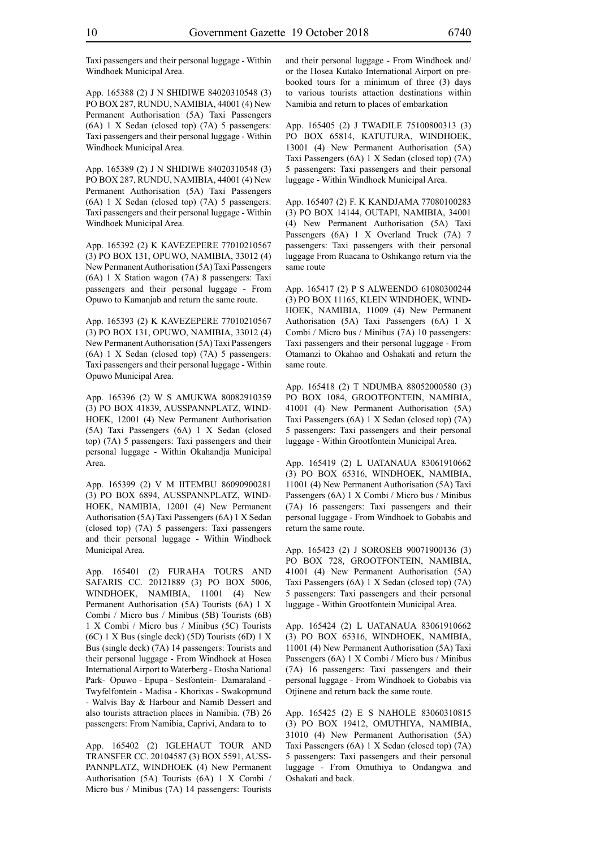Taxi passengers and their personal luggage - Within Windhoek Municipal Area.

App. 165388 (2) J N SHIDIWE 84020310548 (3) PO BOX 287, RUNDU, NAMIBIA, 44001 (4) New Permanent Authorisation (5A) Taxi Passengers (6A) 1 X Sedan (closed top) (7A) 5 passengers: Taxi passengers and their personal luggage - Within Windhoek Municipal Area.

App. 165389 (2) J N SHIDIWE 84020310548 (3) PO BOX 287, RUNDU, NAMIBIA, 44001 (4) New Permanent Authorisation (5A) Taxi Passengers (6A) 1 X Sedan (closed top) (7A) 5 passengers: Taxi passengers and their personal luggage - Within Windhoek Municipal Area.

App. 165392 (2) K KAVEZEPERE 77010210567 (3) PO BOX 131, OPUWO, NAMIBIA, 33012 (4) New Permanent Authorisation (5A) Taxi Passengers (6A) 1 X Station wagon (7A) 8 passengers: Taxi passengers and their personal luggage - From Opuwo to Kamanjab and return the same route.

App. 165393 (2) K KAVEZEPERE 77010210567 (3) PO BOX 131, OPUWO, NAMIBIA, 33012 (4) New Permanent Authorisation (5A) Taxi Passengers (6A) 1 X Sedan (closed top) (7A) 5 passengers: Taxi passengers and their personal luggage - Within Opuwo Municipal Area.

App. 165396 (2) W S AMUKWA 80082910359 (3) PO BOX 41839, AUSSPANNPLATZ, WIND-HOEK, 12001 (4) New Permanent Authorisation (5A) Taxi Passengers (6A) 1 X Sedan (closed top) (7A) 5 passengers: Taxi passengers and their personal luggage - Within Okahandja Municipal Area.

App. 165399 (2) V M IITEMBU 86090900281 (3) PO BOX 6894, AUSSPANNPLATZ, WIND-HOEK, NAMIBIA, 12001 (4) New Permanent Authorisation (5A) Taxi Passengers (6A) 1 X Sedan (closed top) (7A) 5 passengers: Taxi passengers and their personal luggage - Within Windhoek Municipal Area.

App. 165401 (2) FURAHA TOURS AND SAFARIS CC. 20121889 (3) PO BOX 5006, WINDHOEK, NAMIBIA, 11001 (4) New Permanent Authorisation (5A) Tourists (6A) 1 X Combi / Micro bus / Minibus (5B) Tourists (6B) 1 X Combi / Micro bus / Minibus (5C) Tourists (6C) 1 X Bus (single deck) (5D) Tourists (6D) 1 X Bus (single deck) (7A) 14 passengers: Tourists and their personal luggage - From Windhoek at Hosea International Airport to Waterberg - Etosha National Park- Opuwo - Epupa - Sesfontein- Damaraland - Twyfelfontein - Madisa - Khorixas - Swakopmund - Walvis Bay & Harbour and Namib Dessert and also tourists attraction places in Namibia. (7B) 26 passengers: From Namibia, Caprivi, Andara to to

App. 165402 (2) IGLEHAUT TOUR AND TRANSFER CC. 20104587 (3) BOX 5591, AUSS-PANNPLATZ, WINDHOEK (4) New Permanent Authorisation (5A) Tourists (6A) 1 X Combi / Micro bus / Minibus (7A) 14 passengers: Tourists and their personal luggage - From Windhoek and/ or the Hosea Kutako International Airport on prebooked tours for a minimum of three (3) days to various tourists attaction destinations within Namibia and return to places of embarkation

App. 165405 (2) J TWADILE 75100800313 (3) PO BOX 65814, KATUTURA, WINDHOEK, 13001 (4) New Permanent Authorisation (5A) Taxi Passengers (6A) 1 X Sedan (closed top) (7A) 5 passengers: Taxi passengers and their personal luggage - Within Windhoek Municipal Area.

App. 165407 (2) F. K KANDJAMA 77080100283 (3) PO BOX 14144, OUTAPI, NAMIBIA, 34001 (4) New Permanent Authorisation (5A) Taxi Passengers (6A) 1 X Overland Truck (7A) 7 passengers: Taxi passengers with their personal luggage From Ruacana to Oshikango return via the same route

App. 165417 (2) P S ALWEENDO 61080300244 (3) PO BOX 11165, KLEIN WINDHOEK, WIND-HOEK, NAMIBIA, 11009 (4) New Permanent Authorisation (5A) Taxi Passengers (6A) 1 X Combi / Micro bus / Minibus (7A) 10 passengers: Taxi passengers and their personal luggage - From Otamanzi to Okahao and Oshakati and return the same route.

App. 165418 (2) T NDUMBA 88052000580 (3) PO BOX 1084, GROOTFONTEIN, NAMIBIA, 41001 (4) New Permanent Authorisation (5A) Taxi Passengers (6A) 1 X Sedan (closed top) (7A) 5 passengers: Taxi passengers and their personal luggage - Within Grootfontein Municipal Area.

App. 165419 (2) L UATANAUA 83061910662 (3) PO BOX 65316, WINDHOEK, NAMIBIA, 11001 (4) New Permanent Authorisation (5A) Taxi Passengers (6A) 1 X Combi / Micro bus / Minibus (7A) 16 passengers: Taxi passengers and their personal luggage - From Windhoek to Gobabis and return the same route.

App. 165423 (2) J SOROSEB 90071900136 (3) PO BOX 728, GROOTFONTEIN, NAMIBIA, 41001 (4) New Permanent Authorisation (5A) Taxi Passengers (6A) 1 X Sedan (closed top) (7A) 5 passengers: Taxi passengers and their personal luggage - Within Grootfontein Municipal Area.

App. 165424 (2) L UATANAUA 83061910662 (3) PO BOX 65316, WINDHOEK, NAMIBIA, 11001 (4) New Permanent Authorisation (5A) Taxi Passengers (6A) 1 X Combi / Micro bus / Minibus (7A) 16 passengers: Taxi passengers and their personal luggage - From Windhoek to Gobabis via Otjinene and return back the same route.

App. 165425 (2) E S NAHOLE 83060310815 (3) PO BOX 19412, OMUTHIYA, NAMIBIA, 31010 (4) New Permanent Authorisation (5A) Taxi Passengers (6A) 1 X Sedan (closed top) (7A) 5 passengers: Taxi passengers and their personal luggage - From Omuthiya to Ondangwa and Oshakati and back.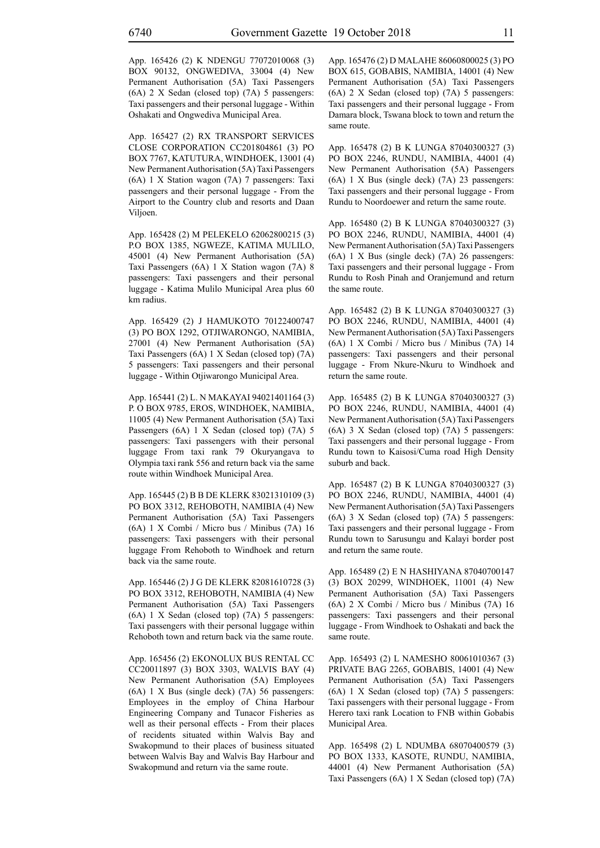App. 165426 (2) K NDENGU 77072010068 (3) BOX 90132, ONGWEDIVA, 33004 (4) New Permanent Authorisation (5A) Taxi Passengers (6A) 2 X Sedan (closed top) (7A) 5 passengers: Taxi passengers and their personal luggage - Within Oshakati and Ongwediva Municipal Area.

App. 165427 (2) RX TRANSPORT SERVICES CLOSE CORPORATION CC201804861 (3) PO BOX 7767, KATUTURA, WINDHOEK, 13001 (4) New Permanent Authorisation (5A) Taxi Passengers (6A) 1 X Station wagon (7A) 7 passengers: Taxi passengers and their personal luggage - From the Airport to the Country club and resorts and Daan Viljoen.

App. 165428 (2) M PELEKELO 62062800215 (3) P.O BOX 1385, NGWEZE, KATIMA MULILO, 45001 (4) New Permanent Authorisation (5A) Taxi Passengers (6A) 1 X Station wagon (7A) 8 passengers: Taxi passengers and their personal luggage - Katima Mulilo Municipal Area plus 60 km radius.

App. 165429 (2) J HAMUKOTO 70122400747 (3) PO BOX 1292, OTJIWARONGO, NAMIBIA, 27001 (4) New Permanent Authorisation (5A) Taxi Passengers (6A) 1 X Sedan (closed top) (7A) 5 passengers: Taxi passengers and their personal luggage - Within Otjiwarongo Municipal Area.

App. 165441 (2) L. N MAKAYAI 94021401164 (3) P. O BOX 9785, EROS, WINDHOEK, NAMIBIA, 11005 (4) New Permanent Authorisation (5A) Taxi Passengers (6A) 1 X Sedan (closed top) (7A) 5 passengers: Taxi passengers with their personal luggage From taxi rank 79 Okuryangava to Olympia taxi rank 556 and return back via the same route within Windhoek Municipal Area.

App. 165445 (2) B B DE KLERK 83021310109 (3) PO BOX 3312, REHOBOTH, NAMIBIA (4) New Permanent Authorisation (5A) Taxi Passengers (6A) 1 X Combi / Micro bus / Minibus (7A) 16 passengers: Taxi passengers with their personal luggage From Rehoboth to Windhoek and return back via the same route.

App. 165446 (2) J G DE KLERK 82081610728 (3) PO BOX 3312, REHOBOTH, NAMIBIA (4) New Permanent Authorisation (5A) Taxi Passengers (6A) 1 X Sedan (closed top) (7A) 5 passengers: Taxi passengers with their personal luggage within Rehoboth town and return back via the same route.

App. 165456 (2) EKONOLUX BUS RENTAL CC CC20011897 (3) BOX 3303, WALVIS BAY (4) New Permanent Authorisation (5A) Employees (6A) 1 X Bus (single deck) (7A) 56 passengers: Employees in the employ of China Harbour Engineering Company and Tunacor Fisheries as well as their personal effects - From their places of recidents situated within Walvis Bay and Swakopmund to their places of business situated between Walvis Bay and Walvis Bay Harbour and Swakopmund and return via the same route.

App. 165476 (2) D MALAHE 86060800025 (3) PO BOX 615, GOBABIS, NAMIBIA, 14001 (4) New Permanent Authorisation (5A) Taxi Passengers (6A) 2 X Sedan (closed top) (7A) 5 passengers: Taxi passengers and their personal luggage - From Damara block, Tswana block to town and return the same route.

App. 165478 (2) B K LUNGA 87040300327 (3) PO BOX 2246, RUNDU, NAMIBIA, 44001 (4) New Permanent Authorisation (5A) Passengers (6A) 1 X Bus (single deck) (7A) 23 passengers: Taxi passengers and their personal luggage - From Rundu to Noordoewer and return the same route.

App. 165480 (2) B K LUNGA 87040300327 (3) PO BOX 2246, RUNDU, NAMIBIA, 44001 (4) New Permanent Authorisation (5A) Taxi Passengers (6A) 1 X Bus (single deck) (7A) 26 passengers: Taxi passengers and their personal luggage - From Rundu to Rosh Pinah and Oranjemund and return the same route.

App. 165482 (2) B K LUNGA 87040300327 (3) PO BOX 2246, RUNDU, NAMIBIA, 44001 (4) New Permanent Authorisation (5A) Taxi Passengers (6A) 1 X Combi / Micro bus / Minibus (7A) 14 passengers: Taxi passengers and their personal luggage - From Nkure-Nkuru to Windhoek and return the same route.

App. 165485 (2) B K LUNGA 87040300327 (3) PO BOX 2246, RUNDU, NAMIBIA, 44001 (4) New Permanent Authorisation (5A) Taxi Passengers (6A) 3 X Sedan (closed top) (7A) 5 passengers: Taxi passengers and their personal luggage - From Rundu town to Kaisosi/Cuma road High Density suburb and back.

App. 165487 (2) B K LUNGA 87040300327 (3) PO BOX 2246, RUNDU, NAMIBIA, 44001 (4) New Permanent Authorisation (5A) Taxi Passengers (6A) 3 X Sedan (closed top) (7A) 5 passengers: Taxi passengers and their personal luggage - From Rundu town to Sarusungu and Kalayi border post and return the same route.

App. 165489 (2) E N HASHIYANA 87040700147 (3) BOX 20299, WINDHOEK, 11001 (4) New Permanent Authorisation (5A) Taxi Passengers (6A) 2 X Combi / Micro bus / Minibus (7A) 16 passengers: Taxi passengers and their personal luggage - From Windhoek to Oshakati and back the same route.

App. 165493 (2) L NAMESHO 80061010367 (3) PRIVATE BAG 2265, GOBABIS, 14001 (4) New Permanent Authorisation (5A) Taxi Passengers (6A) 1 X Sedan (closed top) (7A) 5 passengers: Taxi passengers with their personal luggage - From Herero taxi rank Location to FNB within Gobabis Municipal Area.

App. 165498 (2) L NDUMBA 68070400579 (3) PO BOX 1333, KASOTE, RUNDU, NAMIBIA, 44001 (4) New Permanent Authorisation (5A) Taxi Passengers (6A) 1 X Sedan (closed top) (7A)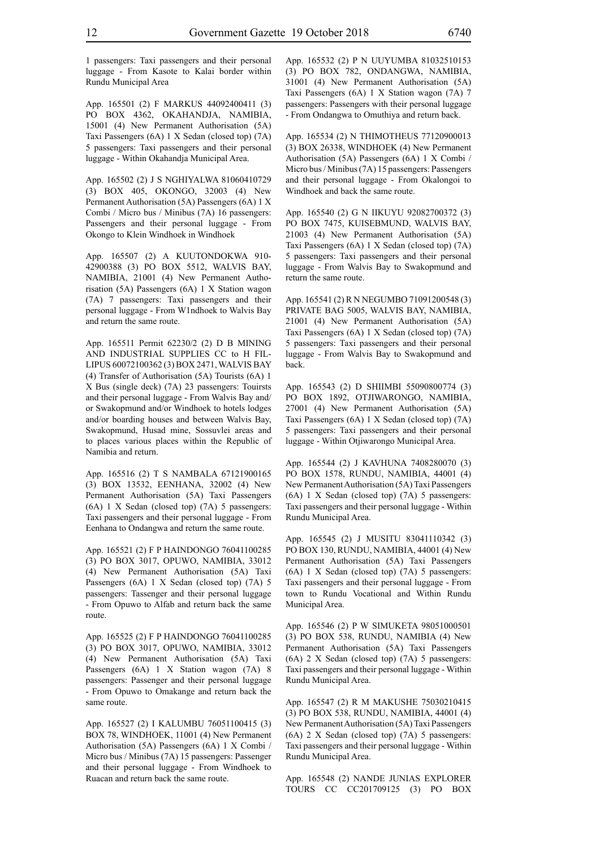1 passengers: Taxi passengers and their personal luggage - From Kasote to Kalai border within Rundu Municipal Area

App. 165501 (2) F MARKUS 44092400411 (3) PO BOX 4362, OKAHANDJA, NAMIBIA, 15001 (4) New Permanent Authorisation (5A) Taxi Passengers (6A) 1 X Sedan (closed top) (7A) 5 passengers: Taxi passengers and their personal luggage - Within Okahandja Municipal Area.

App. 165502 (2) J S NGHIYALWA 81060410729 (3) BOX 405, OKONGO, 32003 (4) New Permanent Authorisation (5A) Passengers (6A) 1 X Combi / Micro bus / Minibus (7A) 16 passengers: Passengers and their personal luggage - From Okongo to Klein Windhoek in Windhoek

App. 165507 (2) A KUUTONDOKWA 910- 42900388 (3) PO BOX 5512, WALVIS BAY, NAMIBIA, 21001 (4) New Permanent Authorisation (5A) Passengers (6A) 1 X Station wagon (7A) 7 passengers: Taxi passengers and their personal luggage - From W1ndhoek to Walvis Bay and return the same route.

App. 165511 Permit 62230/2 (2) D B MINING AND INDUSTRIAL SUPPLIES CC to H FIL-LIPUS 60072100362 (3) BOX 2471, WALVIS BAY (4) Transfer of Authorisation (5A) Tourists (6A) 1 X Bus (single deck) (7A) 23 passengers: Touirsts and their personal luggage - From Walvis Bay and/ or Swakopmund and/or Windhoek to hotels lodges and/or boarding houses and between Walvis Bay, Swakopmund, Husad mine, Sossuvlei areas and to places various places within the Republic of Namibia and return.

App. 165516 (2) T S NAMBALA 67121900165 (3) BOX 13532, EENHANA, 32002 (4) New Permanent Authorisation (5A) Taxi Passengers (6A) 1 X Sedan (closed top) (7A) 5 passengers: Taxi passengers and their personal luggage - From Eenhana to Ondangwa and return the same route.

App. 165521 (2) F P HAINDONGO 76041100285 (3) PO BOX 3017, OPUWO, NAMIBIA, 33012 (4) New Permanent Authorisation (5A) Taxi Passengers (6A) 1 X Sedan (closed top) (7A) 5 passengers: Tassenger and their personal luggage - From Opuwo to Alfab and return back the same route.

App. 165525 (2) F P HAINDONGO 76041100285 (3) PO BOX 3017, OPUWO, NAMIBIA, 33012 (4) New Permanent Authorisation (5A) Taxi Passengers (6A) 1 X Station wagon (7A) 8 passengers: Passenger and their personal luggage - From Opuwo to Omakange and return back the same route.

App. 165527 (2) I KALUMBU 76051100415 (3) BOX 78, WINDHOEK, 11001 (4) New Permanent Authorisation (5A) Passengers (6A) 1 X Combi / Micro bus / Minibus (7A) 15 passengers: Passenger and their personal luggage - From Windhoek to Ruacan and return back the same route.

App. 165532 (2) P N UUYUMBA 81032510153 (3) PO BOX 782, ONDANGWA, NAMIBIA, 31001 (4) New Permanent Authorisation (5A) Taxi Passengers (6A) 1 X Station wagon (7A) 7 passengers: Passengers with their personal luggage - From Ondangwa to Omuthiya and return back.

App. 165534 (2) N THIMOTHEUS 77120900013 (3) BOX 26338, WINDHOEK (4) New Permanent Authorisation (5A) Passengers (6A) 1 X Combi / Micro bus / Minibus (7A) 15 passengers: Passengers and their personal luggage - From Okalongoi to Windhoek and back the same route.

App. 165540 (2) G N IIKUYU 92082700372 (3) PO BOX 7475, KUISEBMUND, WALVIS BAY, 21003 (4) New Permanent Authorisation (5A) Taxi Passengers (6A) 1 X Sedan (closed top) (7A) 5 passengers: Taxi passengers and their personal luggage - From Walvis Bay to Swakopmund and return the same route.

App. 165541 (2) R N NEGUMBO 71091200548 (3) PRIVATE BAG 5005, WALVIS BAY, NAMIBIA, 21001 (4) New Permanent Authorisation (5A) Taxi Passengers (6A) 1 X Sedan (closed top) (7A) 5 passengers: Taxi passengers and their personal luggage - From Walvis Bay to Swakopmund and back.

App. 165543 (2) D SHIIMBI 55090800774 (3) PO BOX 1892, OTJIWARONGO, NAMIBIA, 27001 (4) New Permanent Authorisation (5A) Taxi Passengers (6A) 1 X Sedan (closed top) (7A) 5 passengers: Taxi passengers and their personal luggage - Within Otjiwarongo Municipal Area.

App. 165544 (2) J KAVHUNA 7408280070 (3) PO BOX 1578, RUNDU, NAMIBIA, 44001 (4) New Permanent Authorisation (5A) Taxi Passengers (6A) 1 X Sedan (closed top) (7A) 5 passengers: Taxi passengers and their personal luggage - Within Rundu Municipal Area.

App. 165545 (2) J MUSITU 83041110342 (3) PO BOX 130, RUNDU, NAMIBIA, 44001 (4) New Permanent Authorisation (5A) Taxi Passengers (6A) 1 X Sedan (closed top) (7A) 5 passengers: Taxi passengers and their personal luggage - From town to Rundu Vocational and Within Rundu Municipal Area.

App. 165546 (2) P W SIMUKETA 98051000501 (3) PO BOX 538, RUNDU, NAMIBIA (4) New Permanent Authorisation (5A) Taxi Passengers (6A) 2 X Sedan (closed top) (7A) 5 passengers: Taxi passengers and their personal luggage - Within Rundu Municipal Area.

App. 165547 (2) R M MAKUSHE 75030210415 (3) PO BOX 538, RUNDU, NAMIBIA, 44001 (4) New Permanent Authorisation (5A) Taxi Passengers (6A) 2 X Sedan (closed top) (7A) 5 passengers: Taxi passengers and their personal luggage - Within Rundu Municipal Area.

App. 165548 (2) NANDE JUNIAS EXPLORER TOURS CC CC201709125 (3) PO BOX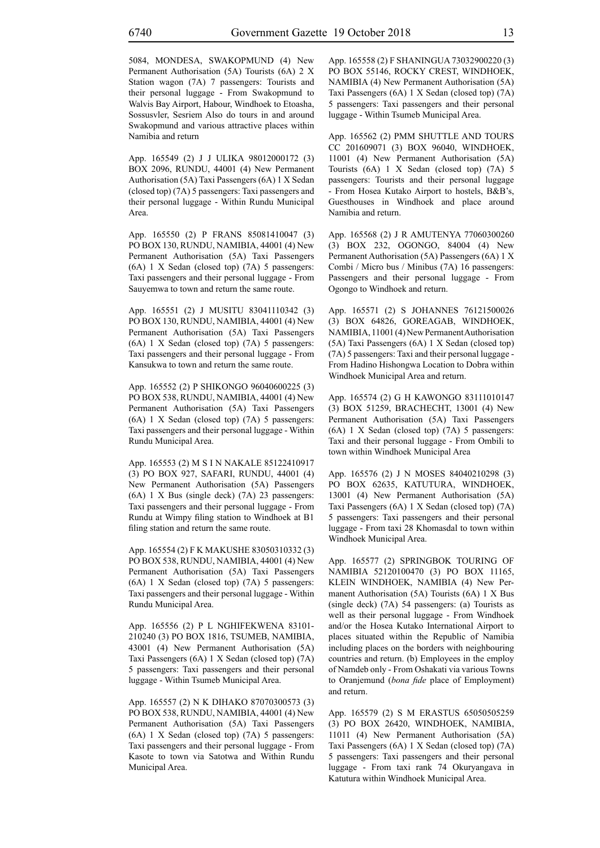5084, MONDESA, SWAKOPMUND (4) New Permanent Authorisation (5A) Tourists (6A) 2 X Station wagon (7A) 7 passengers: Tourists and their personal luggage - From Swakopmund to Walvis Bay Airport, Habour, Windhoek to Etoasha, Sossusvler, Sesriem Also do tours in and around Swakopmund and various attractive places within Namibia and return

App. 165549 (2) J J ULIKA 98012000172 (3) BOX 2096, RUNDU, 44001 (4) New Permanent Authorisation (5A) Taxi Passengers (6A) 1 X Sedan (closed top) (7A) 5 passengers: Taxi passengers and their personal luggage - Within Rundu Municipal Area.

App. 165550 (2) P FRANS 85081410047 (3) PO BOX 130, RUNDU, NAMIBIA, 44001 (4) New Permanent Authorisation (5A) Taxi Passengers (6A) 1 X Sedan (closed top) (7A) 5 passengers: Taxi passengers and their personal luggage - From Sauyemwa to town and return the same route.

App. 165551 (2) J MUSITU 83041110342 (3) PO BOX 130, RUNDU, NAMIBIA, 44001 (4) New Permanent Authorisation (5A) Taxi Passengers (6A) 1 X Sedan (closed top) (7A) 5 passengers: Taxi passengers and their personal luggage - From Kansukwa to town and return the same route.

App. 165552 (2) P SHIKONGO 96040600225 (3) PO BOX 538, RUNDU, NAMIBIA, 44001 (4) New Permanent Authorisation (5A) Taxi Passengers (6A) 1 X Sedan (closed top) (7A) 5 passengers: Taxi passengers and their personal luggage - Within Rundu Municipal Area.

App. 165553 (2) M S I N NAKALE 85122410917 (3) PO BOX 927, SAFARI, RUNDU, 44001 (4) New Permanent Authorisation (5A) Passengers (6A) 1 X Bus (single deck) (7A) 23 passengers: Taxi passengers and their personal luggage - From Rundu at Wimpy filing station to Windhoek at B1 filing station and return the same route.

App. 165554 (2) F K MAKUSHE 83050310332 (3) PO BOX 538, RUNDU, NAMIBIA, 44001 (4) New Permanent Authorisation (5A) Taxi Passengers (6A) 1 X Sedan (closed top) (7A) 5 passengers: Taxi passengers and their personal luggage - Within Rundu Municipal Area.

App. 165556 (2) P L NGHIFEKWENA 83101- 210240 (3) PO BOX 1816, TSUMEB, NAMIBIA, 43001 (4) New Permanent Authorisation (5A) Taxi Passengers (6A) 1 X Sedan (closed top) (7A) 5 passengers: Taxi passengers and their personal luggage - Within Tsumeb Municipal Area.

App. 165557 (2) N K DIHAKO 87070300573 (3) PO BOX 538, RUNDU, NAMIBIA, 44001 (4) New Permanent Authorisation (5A) Taxi Passengers (6A) 1 X Sedan (closed top) (7A) 5 passengers: Taxi passengers and their personal luggage - From Kasote to town via Satotwa and Within Rundu Municipal Area.

App. 165558 (2) F SHANINGUA 73032900220 (3) PO BOX 55146, ROCKY CREST, WINDHOEK, NAMIBIA (4) New Permanent Authorisation (5A) Taxi Passengers (6A) 1 X Sedan (closed top) (7A) 5 passengers: Taxi passengers and their personal luggage - Within Tsumeb Municipal Area.

App. 165562 (2) PMM SHUTTLE AND TOURS CC 201609071 (3) BOX 96040, WINDHOEK, 11001 (4) New Permanent Authorisation (5A) Tourists (6A) 1 X Sedan (closed top) (7A) 5 passengers: Tourists and their personal luggage - From Hosea Kutako Airport to hostels, B&B's, Guesthouses in Windhoek and place around Namibia and return.

App. 165568 (2) J R AMUTENYA 77060300260 (3) BOX 232, OGONGO, 84004 (4) New Permanent Authorisation (5A) Passengers (6A) 1 X Combi / Micro bus / Minibus (7A) 16 passengers: Passengers and their personal luggage - From Ogongo to Windhoek and return.

App. 165571 (2) S JOHANNES 76121500026 (3) BOX 64826, GOREAGAB, WINDHOEK, NAMIBIA, 11001 (4) New Permanent Authorisation (5A) Taxi Passengers (6A) 1 X Sedan (closed top) (7A) 5 passengers: Taxi and their personal luggage - From Hadino Hishongwa Location to Dobra within Windhoek Municipal Area and return.

App. 165574 (2) G H KAWONGO 83111010147 (3) BOX 51259, BRACHECHT, 13001 (4) New Permanent Authorisation (5A) Taxi Passengers (6A) 1 X Sedan (closed top) (7A) 5 passengers: Taxi and their personal luggage - From Ombili to town within Windhoek Municipal Area

App. 165576 (2) J N MOSES 84040210298 (3) PO BOX 62635, KATUTURA, WINDHOEK, 13001 (4) New Permanent Authorisation (5A) Taxi Passengers (6A) 1 X Sedan (closed top) (7A) 5 passengers: Taxi passengers and their personal luggage - From taxi 28 Khomasdal to town within Windhoek Municipal Area.

App. 165577 (2) SPRINGBOK TOURING OF NAMIBIA 52120100470 (3) PO BOX 11165, KLEIN WINDHOEK, NAMIBIA (4) New Permanent Authorisation (5A) Tourists (6A) 1 X Bus (single deck) (7A) 54 passengers: (a) Tourists as well as their personal luggage - From Windhoek and/or the Hosea Kutako International Airport to places situated within the Republic of Namibia including places on the borders with neighbouring countries and return. (b) Employees in the employ of Namdeb only - From Oshakati via various Towns to Oranjemund (*bona fide* place of Employment) and return.

App. 165579 (2) S M ERASTUS 65050505259 (3) PO BOX 26420, WINDHOEK, NAMIBIA, 11011 (4) New Permanent Authorisation (5A) Taxi Passengers (6A) 1 X Sedan (closed top) (7A) 5 passengers: Taxi passengers and their personal luggage - From taxi rank 74 Okuryangava in Katutura within Windhoek Municipal Area.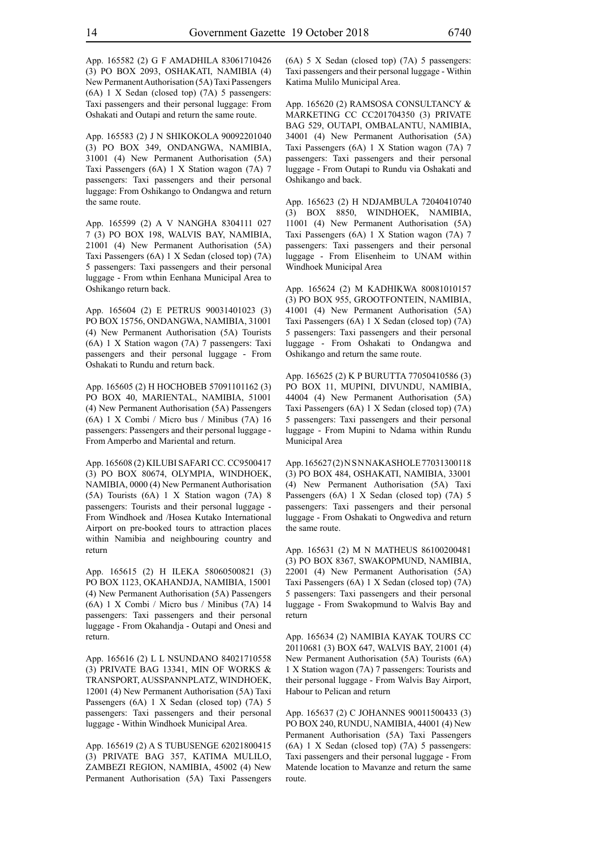App. 165582 (2) G F AMADHILA 83061710426 (3) PO BOX 2093, OSHAKATI, NAMIBIA (4) New Permanent Authorisation (5A) Taxi Passengers (6A) 1 X Sedan (closed top) (7A) 5 passengers: Taxi passengers and their personal luggage: From Oshakati and Outapi and return the same route.

App. 165583 (2) J N SHIKOKOLA 90092201040 (3) PO BOX 349, ONDANGWA, NAMIBIA, 31001 (4) New Permanent Authorisation (5A) Taxi Passengers (6A) 1 X Station wagon (7A) 7 passengers: Taxi passengers and their personal luggage: From Oshikango to Ondangwa and return the same route.

App. 165599 (2) A V NANGHA 8304111 027 7 (3) PO BOX 198, WALVIS BAY, NAMIBIA, 21001 (4) New Permanent Authorisation (5A) Taxi Passengers (6A) 1 X Sedan (closed top) (7A) 5 passengers: Taxi passengers and their personal luggage - From wthin Eenhana Municipal Area to Oshikango return back.

App. 165604 (2) E PETRUS 90031401023 (3) PO BOX 15756, ONDANGWA, NAMIBIA, 31001 (4) New Permanent Authorisation (5A) Tourists (6A) 1 X Station wagon (7A) 7 passengers: Taxi passengers and their personal luggage - From Oshakati to Rundu and return back.

App. 165605 (2) H HOCHOBEB 57091101162 (3) PO BOX 40, MARIENTAL, NAMIBIA, 51001 (4) New Permanent Authorisation (5A) Passengers (6A) 1 X Combi / Micro bus / Minibus (7A) 16 passengers: Passengers and their personal luggage - From Amperbo and Mariental and return.

App. 165608 (2) KILUBI SAFARI CC. CC9500417 (3) PO BOX 80674, OLYMPIA, WINDHOEK, NAMIBIA, 0000 (4) New Permanent Authorisation (5A) Tourists (6A) 1 X Station wagon (7A) 8 passengers: Tourists and their personal luggage - From Windhoek and /Hosea Kutako International Airport on pre-booked tours to attraction places within Namibia and neighbouring country and return

App. 165615 (2) H ILEKA 58060500821 (3) PO BOX 1123, OKAHANDJA, NAMIBIA, 15001 (4) New Permanent Authorisation (5A) Passengers (6A) 1 X Combi / Micro bus / Minibus (7A) 14 passengers: Taxi passengers and their personal luggage - From Okahandja - Outapi and Onesi and return.

App. 165616 (2) L L NSUNDANO 84021710558 (3) PRIVATE BAG 13341, MIN OF WORKS & TRANSPORT, AUSSPANNPLATZ, WINDHOEK, 12001 (4) New Permanent Authorisation (5A) Taxi Passengers (6A) 1 X Sedan (closed top) (7A) 5 passengers: Taxi passengers and their personal luggage - Within Windhoek Municipal Area.

App. 165619 (2) A S TUBUSENGE 62021800415 (3) PRIVATE BAG 357, KATIMA MULILO, ZAMBEZI REGION, NAMIBIA, 45002 (4) New Permanent Authorisation (5A) Taxi Passengers (6A) 5 X Sedan (closed top) (7A) 5 passengers: Taxi passengers and their personal luggage - Within Katima Mulilo Municipal Area.

App. 165620 (2) RAMSOSA CONSULTANCY & MARKETING CC CC201704350 (3) PRIVATE BAG 529, OUTAPI, OMBALANTU, NAMIBIA, 34001 (4) New Permanent Authorisation (5A) Taxi Passengers (6A) 1 X Station wagon (7A) 7 passengers: Taxi passengers and their personal luggage - From Outapi to Rundu via Oshakati and Oshikango and back.

App. 165623 (2) H NDJAMBULA 72040410740 (3) BOX 8850, WINDHOEK, NAMIBIA, 11001 (4) New Permanent Authorisation (5A) Taxi Passengers (6A) 1 X Station wagon (7A) 7 passengers: Taxi passengers and their personal luggage - From Elisenheim to UNAM within Windhoek Municipal Area

App. 165624 (2) M KADHIKWA 80081010157 (3) PO BOX 955, GROOTFONTEIN, NAMIBIA, 41001 (4) New Permanent Authorisation (5A) Taxi Passengers (6A) 1 X Sedan (closed top) (7A) 5 passengers: Taxi passengers and their personal luggage - From Oshakati to Ondangwa and Oshikango and return the same route.

App. 165625 (2) K P BURUTTA 77050410586 (3) PO BOX 11, MUPINI, DIVUNDU, NAMIBIA, 44004 (4) New Permanent Authorisation (5A) Taxi Passengers (6A) 1 X Sedan (closed top) (7A) 5 passengers: Taxi passengers and their personal luggage - From Mupini to Ndama within Rundu Municipal Area

App. 165627(2) NSNNAKASHOLE 77031300118 (3) PO BOX 484, OSHAKATI, NAMIBIA, 33001 (4) New Permanent Authorisation (5A) Taxi Passengers (6A) 1 X Sedan (closed top) (7A) 5 passengers: Taxi passengers and their personal luggage - From Oshakati to Ongwediva and return the same route.

App. 165631 (2) M N MATHEUS 86100200481 (3) PO BOX 8367, SWAKOPMUND, NAMIBIA, 22001 (4) New Permanent Authorisation (5A) Taxi Passengers (6A) 1 X Sedan (closed top) (7A) 5 passengers: Taxi passengers and their personal luggage - From Swakopmund to Walvis Bay and return

App. 165634 (2) NAMIBIA KAYAK TOURS CC 20110681 (3) BOX 647, WALVIS BAY, 21001 (4) New Permanent Authorisation (5A) Tourists (6A) 1 X Station wagon (7A) 7 passengers: Tourists and their personal luggage - From Walvis Bay Airport, Habour to Pelican and return

App. 165637 (2) C JOHANNES 90011500433 (3) PO BOX 240, RUNDU, NAMIBIA, 44001 (4) New Permanent Authorisation (5A) Taxi Passengers (6A) 1 X Sedan (closed top) (7A) 5 passengers: Taxi passengers and their personal luggage - From Matende location to Mavanze and return the same route.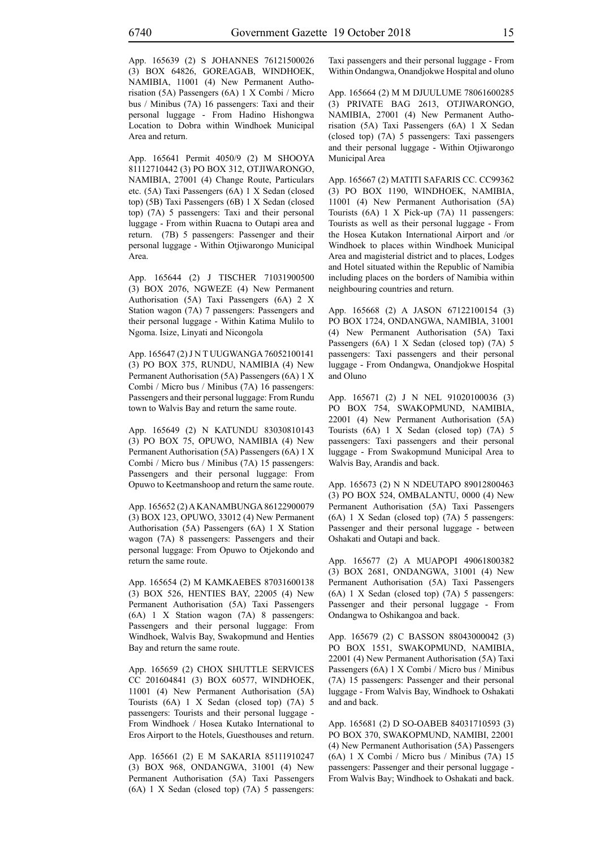App. 165639 (2) S JOHANNES 76121500026 (3) BOX 64826, GOREAGAB, WINDHOEK, NAMIBIA, 11001 (4) New Permanent Authorisation (5A) Passengers (6A) 1 X Combi / Micro bus / Minibus (7A) 16 passengers: Taxi and their personal luggage - From Hadino Hishongwa Location to Dobra within Windhoek Municipal Area and return.

App. 165641 Permit 4050/9 (2) M SHOOYA 81112710442 (3) PO BOX 312, OTJIWARONGO, NAMIBIA, 27001 (4) Change Route, Particulars etc. (5A) Taxi Passengers (6A) 1 X Sedan (closed top) (5B) Taxi Passengers (6B) 1 X Sedan (closed top) (7A) 5 passengers: Taxi and their personal luggage - From within Ruacna to Outapi area and return. (7B) 5 passengers: Passenger and their personal luggage - Within Otjiwarongo Municipal Area.

App. 165644 (2) J TISCHER 71031900500 (3) BOX 2076, NGWEZE (4) New Permanent Authorisation (5A) Taxi Passengers (6A) 2 X Station wagon (7A) 7 passengers: Passengers and their personal luggage - Within Katima Mulilo to Ngoma. Isize, Linyati and Nicongola

App. 165647 (2) J N T UUGWANGA 76052100141 (3) PO BOX 375, RUNDU, NAMIBIA (4) New Permanent Authorisation (5A) Passengers (6A) 1 X Combi / Micro bus / Minibus (7A) 16 passengers: Passengers and their personal luggage: From Rundu town to Walvis Bay and return the same route.

App. 165649 (2) N KATUNDU 83030810143 (3) PO BOX 75, OPUWO, NAMIBIA (4) New Permanent Authorisation (5A) Passengers (6A) 1 X Combi / Micro bus / Minibus (7A) 15 passengers: Passengers and their personal luggage: From Opuwo to Keetmanshoop and return the same route.

App. 165652 (2) A KANAMBUNGA 86122900079 (3) BOX 123, OPUWO, 33012 (4) New Permanent Authorisation (5A) Passengers (6A) 1 X Station wagon (7A) 8 passengers: Passengers and their personal luggage: From Opuwo to Otjekondo and return the same route.

App. 165654 (2) M KAMKAEBES 87031600138 (3) BOX 526, HENTIES BAY, 22005 (4) New Permanent Authorisation (5A) Taxi Passengers (6A) 1 X Station wagon (7A) 8 passengers: Passengers and their personal luggage: From Windhoek, Walvis Bay, Swakopmund and Henties Bay and return the same route.

App. 165659 (2) CHOX SHUTTLE SERVICES CC 201604841 (3) BOX 60577, WINDHOEK, 11001 (4) New Permanent Authorisation (5A) Tourists (6A) 1 X Sedan (closed top) (7A) 5 passengers: Tourists and their personal luggage - From Windhoek / Hosea Kutako International to Eros Airport to the Hotels, Guesthouses and return.

App. 165661 (2) E M SAKARIA 85111910247 (3) BOX 968, ONDANGWA, 31001 (4) New Permanent Authorisation (5A) Taxi Passengers (6A) 1 X Sedan (closed top) (7A) 5 passengers: Taxi passengers and their personal luggage - From Within Ondangwa, Onandjokwe Hospital and oluno

App. 165664 (2) M M DJUULUME 78061600285 (3) PRIVATE BAG 2613, OTJIWARONGO, NAMIBIA, 27001 (4) New Permanent Authorisation (5A) Taxi Passengers (6A) 1 X Sedan (closed top) (7A) 5 passengers: Taxi passengers and their personal luggage - Within Otjiwarongo Municipal Area

App. 165667 (2) MATITI SAFARIS CC. CC99362 (3) PO BOX 1190, WINDHOEK, NAMIBIA, 11001 (4) New Permanent Authorisation (5A) Tourists (6A) 1 X Pick-up (7A) 11 passengers: Tourists as well as their personal luggage - From the Hosea Kutakon International Airport and /or Windhoek to places within Windhoek Municipal Area and magisterial district and to places, Lodges and Hotel situated within the Republic of Namibia including places on the borders of Namibia within neighbouring countries and return.

App. 165668 (2) A JASON 67122100154 (3) PO BOX 1724, ONDANGWA, NAMIBIA, 31001 (4) New Permanent Authorisation (5A) Taxi Passengers (6A) 1 X Sedan (closed top) (7A) 5 passengers: Taxi passengers and their personal luggage - From Ondangwa, Onandjokwe Hospital and Oluno

App. 165671 (2) J N NEL 91020100036 (3) PO BOX 754, SWAKOPMUND, NAMIBIA, 22001 (4) New Permanent Authorisation (5A) Tourists (6A) 1 X Sedan (closed top) (7A) 5 passengers: Taxi passengers and their personal luggage - From Swakopmund Municipal Area to Walvis Bay, Arandis and back.

App. 165673 (2) N N NDEUTAPO 89012800463 (3) PO BOX 524, OMBALANTU, 0000 (4) New Permanent Authorisation (5A) Taxi Passengers (6A) 1 X Sedan (closed top) (7A) 5 passengers: Passenger and their personal luggage - between Oshakati and Outapi and back.

App. 165677 (2) A MUAPOPI 49061800382 (3) BOX 2681, ONDANGWA, 31001 (4) New Permanent Authorisation (5A) Taxi Passengers (6A) 1 X Sedan (closed top) (7A) 5 passengers: Passenger and their personal luggage - From Ondangwa to Oshikangoa and back.

App. 165679 (2) C BASSON 88043000042 (3) PO BOX 1551, SWAKOPMUND, NAMIBIA, 22001 (4) New Permanent Authorisation (5A) Taxi Passengers (6A) 1 X Combi / Micro bus / Minibus (7A) 15 passengers: Passenger and their personal luggage - From Walvis Bay, Windhoek to Oshakati and and back.

App. 165681 (2) D SO-OABEB 84031710593 (3) PO BOX 370, SWAKOPMUND, NAMIBI, 22001 (4) New Permanent Authorisation (5A) Passengers (6A) 1 X Combi / Micro bus / Minibus (7A) 15 passengers: Passenger and their personal luggage - From Walvis Bay; Windhoek to Oshakati and back.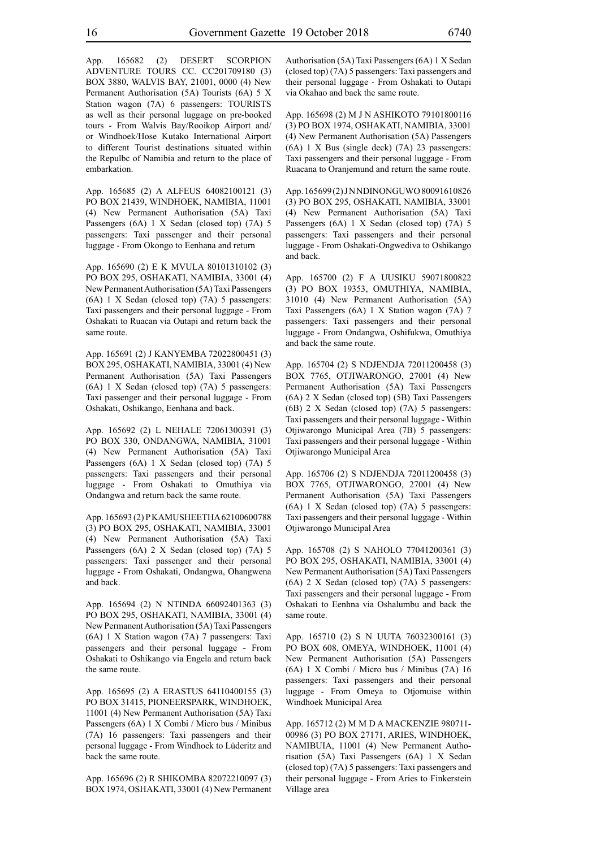App. 165682 (2) DESERT SCORPION ADVENTURE TOURS CC. CC201709180 (3) BOX 3880, WALVIS BAY, 21001, 0000 (4) New Permanent Authorisation (5A) Tourists (6A) 5 X Station wagon (7A) 6 passengers: TOURISTS as well as their personal luggage on pre-booked tours - From Walvis Bay/Rooikop Airport and/ or Windhoek/Hose Kutako International Airport to different Tourist destinations situated within the Repulbc of Namibia and return to the place of embarkation.

App. 165685 (2) A ALFEUS 64082100121 (3) PO BOX 21439, WINDHOEK, NAMIBIA, 11001 (4) New Permanent Authorisation (5A) Taxi Passengers (6A) 1 X Sedan (closed top) (7A) 5 passengers: Taxi passenger and their personal luggage - From Okongo to Eenhana and return

App. 165690 (2) E K MVULA 80101310102 (3) PO BOX 295, OSHAKATI, NAMIBIA, 33001 (4) New Permanent Authorisation (5A) Taxi Passengers (6A) 1 X Sedan (closed top) (7A) 5 passengers: Taxi passengers and their personal luggage - From Oshakati to Ruacan via Outapi and return back the same route.

App. 165691 (2) J KANYEMBA 72022800451 (3) BOX 295, OSHAKATI, NAMIBIA, 33001 (4) New Permanent Authorisation (5A) Taxi Passengers (6A) 1 X Sedan (closed top) (7A) 5 passengers: Taxi passenger and their personal luggage - From Oshakati, Oshikango, Eenhana and back.

App. 165692 (2) L NEHALE 72061300391 (3) PO BOX 330, ONDANGWA, NAMIBIA, 31001 (4) New Permanent Authorisation (5A) Taxi Passengers (6A) 1 X Sedan (closed top) (7A) 5 passengers: Taxi passengers and their personal luggage - From Oshakati to Omuthiya via Ondangwa and return back the same route.

App. 165693 (2) P KAMUSHEETHA 62100600788 (3) PO BOX 295, OSHAKATI, NAMIBIA, 33001 (4) New Permanent Authorisation (5A) Taxi Passengers (6A) 2 X Sedan (closed top) (7A) 5 passengers: Taxi passenger and their personal luggage - From Oshakati, Ondangwa, Ohangwena and back.

App. 165694 (2) N NTINDA 66092401363 (3) PO BOX 295, OSHAKATI, NAMIBIA, 33001 (4) New Permanent Authorisation (5A) Taxi Passengers (6A) 1 X Station wagon (7A) 7 passengers: Taxi passengers and their personal luggage - From Oshakati to Oshikango via Engela and return back the same route.

App. 165695 (2) A ERASTUS 64110400155 (3) PO BOX 31415, PIONEERSPARK, WINDHOEK, 11001 (4) New Permanent Authorisation (5A) Taxi Passengers (6A) 1 X Combi / Micro bus / Minibus (7A) 16 passengers: Taxi passengers and their personal luggage - From Windhoek to Lüderitz and back the same route.

App. 165696 (2) R SHIKOMBA 82072210097 (3) BOX 1974, OSHAKATI, 33001 (4) New Permanent Authorisation (5A) Taxi Passengers (6A) 1 X Sedan (closed top) (7A) 5 passengers: Taxi passengers and their personal luggage - From Oshakati to Outapi via Okahao and back the same route.

App. 165698 (2) M J N ASHIKOTO 79101800116 (3) PO BOX 1974, OSHAKATI, NAMIBIA, 33001 (4) New Permanent Authorisation (5A) Passengers (6A) 1 X Bus (single deck) (7A) 23 passengers: Taxi passengers and their personal luggage - From Ruacana to Oranjemund and return the same route.

App. 165699 (2) J N NDINONGUWO 80091610826 (3) PO BOX 295, OSHAKATI, NAMIBIA, 33001 (4) New Permanent Authorisation (5A) Taxi Passengers (6A) 1 X Sedan (closed top) (7A) 5 passengers: Taxi passengers and their personal luggage - From Oshakati-Ongwediva to Oshikango and back.

App. 165700 (2) F A UUSIKU 59071800822 (3) PO BOX 19353, OMUTHIYA, NAMIBIA, 31010 (4) New Permanent Authorisation (5A) Taxi Passengers (6A) 1 X Station wagon (7A) 7 passengers: Taxi passengers and their personal luggage - From Ondangwa, Oshifukwa, Omuthiya and back the same route.

App. 165704 (2) S NDJENDJA 72011200458 (3) BOX 7765, OTJIWARONGO, 27001 (4) New Permanent Authorisation (5A) Taxi Passengers (6A) 2 X Sedan (closed top) (5B) Taxi Passengers (6B) 2 X Sedan (closed top) (7A) 5 passengers: Taxi passengers and their personal luggage - Within Otjiwarongo Municipal Area (7B) 5 passengers: Taxi passengers and their personal luggage - Within Otjiwarongo Municipal Area

App. 165706 (2) S NDJENDJA 72011200458 (3) BOX 7765, OTJIWARONGO, 27001 (4) New Permanent Authorisation (5A) Taxi Passengers (6A) 1 X Sedan (closed top) (7A) 5 passengers: Taxi passengers and their personal luggage - Within Otjiwarongo Municipal Area

App. 165708 (2) S NAHOLO 77041200361 (3) PO BOX 295, OSHAKATI, NAMIBIA, 33001 (4) New Permanent Authorisation (5A) Taxi Passengers (6A) 2 X Sedan (closed top) (7A) 5 passengers: Taxi passengers and their personal luggage - From Oshakati to Eenhna via Oshalumbu and back the same route.

App. 165710 (2) S N UUTA 76032300161 (3) PO BOX 608, OMEYA, WINDHOEK, 11001 (4) New Permanent Authorisation (5A) Passengers (6A) 1 X Combi / Micro bus / Minibus (7A) 16 passengers: Taxi passengers and their personal luggage - From Omeya to Otjomuise within Windhoek Municipal Area

App. 165712 (2) M M D A MACKENZIE 980711- 00986 (3) PO BOX 27171, ARIES, WINDHOEK, NAMIBUIA, 11001 (4) New Permanent Authorisation (5A) Taxi Passengers (6A) 1 X Sedan (closed top) (7A) 5 passengers: Taxi passengers and their personal luggage - From Aries to Finkerstein Village area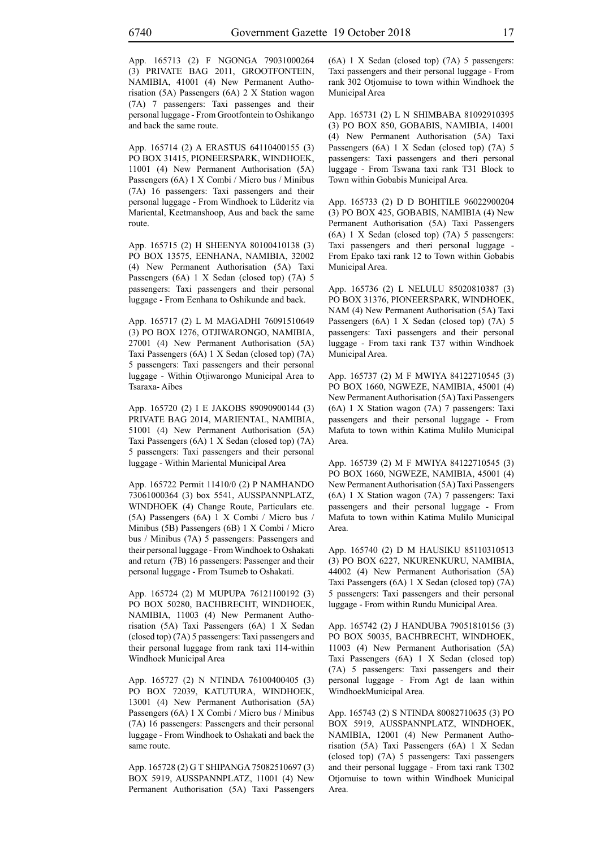App. 165713 (2) F NGONGA 79031000264 (3) PRIVATE BAG 2011, GROOTFONTEIN, NAMIBIA, 41001 (4) New Permanent Authorisation (5A) Passengers (6A) 2 X Station wagon (7A) 7 passengers: Taxi passenges and their personal luggage - From Grootfontein to Oshikango and back the same route.

App. 165714 (2) A ERASTUS 64110400155 (3) PO BOX 31415, PIONEERSPARK, WINDHOEK, 11001 (4) New Permanent Authorisation (5A) Passengers (6A) 1 X Combi / Micro bus / Minibus (7A) 16 passengers: Taxi passengers and their personal luggage - From Windhoek to Lüderitz via Mariental, Keetmanshoop, Aus and back the same route.

App. 165715 (2) H SHEENYA 80100410138 (3) PO BOX 13575, EENHANA, NAMIBIA, 32002 (4) New Permanent Authorisation (5A) Taxi Passengers (6A) 1 X Sedan (closed top) (7A) 5 passengers: Taxi passengers and their personal luggage - From Eenhana to Oshikunde and back.

App. 165717 (2) L M MAGADHI 76091510649 (3) PO BOX 1276, OTJIWARONGO, NAMIBIA, 27001 (4) New Permanent Authorisation (5A) Taxi Passengers (6A) 1 X Sedan (closed top) (7A) 5 passengers: Taxi passengers and their personal luggage - Within Otjiwarongo Municipal Area to Tsaraxa- Aibes

App. 165720 (2) I E JAKOBS 89090900144 (3) PRIVATE BAG 2014, MARIENTAL, NAMIBIA, 51001 (4) New Permanent Authorisation (5A) Taxi Passengers (6A) 1 X Sedan (closed top) (7A) 5 passengers: Taxi passengers and their personal luggage - Within Mariental Municipal Area

App. 165722 Permit 11410/0 (2) P NAMHANDO 73061000364 (3) box 5541, AUSSPANNPLATZ, WINDHOEK (4) Change Route, Particulars etc. (5A) Passengers (6A) 1 X Combi / Micro bus / Minibus (5B) Passengers (6B) 1 X Combi / Micro bus / Minibus (7A) 5 passengers: Passengers and their personal luggage - From Windhoek to Oshakati and return (7B) 16 passengers: Passenger and their personal luggage - From Tsumeb to Oshakati.

App. 165724 (2) M MUPUPA 76121100192 (3) PO BOX 50280, BACHBRECHT, WINDHOEK, NAMIBIA, 11003 (4) New Permanent Authorisation (5A) Taxi Passengers (6A) 1 X Sedan (closed top) (7A) 5 passengers: Taxi passengers and their personal luggage from rank taxi 114-within Windhoek Municipal Area

App. 165727 (2) N NTINDA 76100400405 (3) PO BOX 72039, KATUTURA, WINDHOEK, 13001 (4) New Permanent Authorisation (5A) Passengers (6A) 1 X Combi / Micro bus / Minibus (7A) 16 passengers: Passengers and their personal luggage - From Windhoek to Oshakati and back the same route.

App. 165728 (2) G T SHIPANGA 75082510697 (3) BOX 5919, AUSSPANNPLATZ, 11001 (4) New Permanent Authorisation (5A) Taxi Passengers (6A) 1 X Sedan (closed top) (7A) 5 passengers: Taxi passengers and their personal luggage - From rank 302 Otjomuise to town within Windhoek the Municipal Area

App. 165731 (2) L N SHIMBABA 81092910395 (3) PO BOX 850, GOBABIS, NAMIBIA, 14001 (4) New Permanent Authorisation (5A) Taxi Passengers (6A) 1 X Sedan (closed top) (7A) 5 passengers: Taxi passengers and theri personal luggage - From Tswana taxi rank T31 Block to Town within Gobabis Municipal Area.

App. 165733 (2) D D BOHITILE 96022900204 (3) PO BOX 425, GOBABIS, NAMIBIA (4) New Permanent Authorisation (5A) Taxi Passengers (6A) 1 X Sedan (closed top) (7A) 5 passengers: Taxi passengers and theri personal luggage - From Epako taxi rank 12 to Town within Gobabis Municipal Area.

App. 165736 (2) L NELULU 85020810387 (3) PO BOX 31376, PIONEERSPARK, WINDHOEK, NAM (4) New Permanent Authorisation (5A) Taxi Passengers (6A) 1 X Sedan (closed top) (7A) 5 passengers: Taxi passengers and their personal luggage - From taxi rank T37 within Windhoek Municipal Area.

App. 165737 (2) M F MWIYA 84122710545 (3) PO BOX 1660, NGWEZE, NAMIBIA, 45001 (4) New Permanent Authorisation (5A) Taxi Passengers (6A) 1 X Station wagon (7A) 7 passengers: Taxi passengers and their personal luggage - From Mafuta to town within Katima Mulilo Municipal Area.

App. 165739 (2) M F MWIYA 84122710545 (3) PO BOX 1660, NGWEZE, NAMIBIA, 45001 (4) New Permanent Authorisation (5A) Taxi Passengers (6A) 1 X Station wagon (7A) 7 passengers: Taxi passengers and their personal luggage - From Mafuta to town within Katima Mulilo Municipal Area.

App. 165740 (2) D M HAUSIKU 85110310513 (3) PO BOX 6227, NKURENKURU, NAMIBIA, 44002 (4) New Permanent Authorisation (5A) Taxi Passengers (6A) 1 X Sedan (closed top) (7A) 5 passengers: Taxi passengers and their personal luggage - From within Rundu Municipal Area.

App. 165742 (2) J HANDUBA 79051810156 (3) PO BOX 50035, BACHBRECHT, WINDHOEK, 11003 (4) New Permanent Authorisation (5A) Taxi Passengers (6A) 1 X Sedan (closed top) (7A) 5 passengers: Taxi passengers and their personal luggage - From Agt de laan within WindhoekMunicipal Area.

App. 165743 (2) S NTINDA 80082710635 (3) PO BOX 5919, AUSSPANNPLATZ, WINDHOEK, NAMIBIA, 12001 (4) New Permanent Authorisation (5A) Taxi Passengers (6A) 1 X Sedan (closed top) (7A) 5 passengers: Taxi passengers and their personal luggage - From taxi rank T302 Otjomuise to town within Windhoek Municipal Area.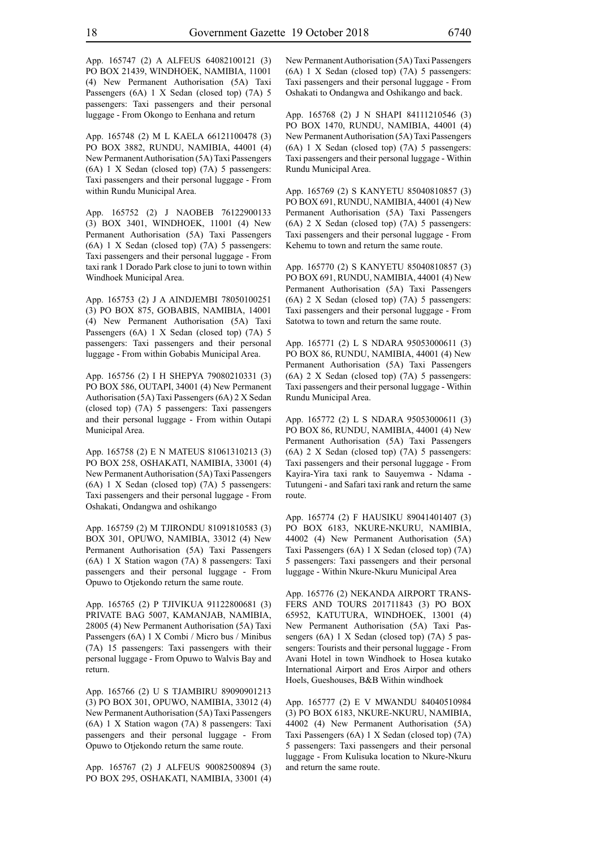App. 165747 (2) A ALFEUS 64082100121 (3) PO BOX 21439, WINDHOEK, NAMIBIA, 11001 (4) New Permanent Authorisation (5A) Taxi Passengers (6A) 1 X Sedan (closed top) (7A) 5 passengers: Taxi passengers and their personal luggage - From Okongo to Eenhana and return

App. 165748 (2) M L KAELA 66121100478 (3) PO BOX 3882, RUNDU, NAMIBIA, 44001 (4) New Permanent Authorisation (5A) Taxi Passengers (6A) 1 X Sedan (closed top) (7A) 5 passengers: Taxi passengers and their personal luggage - From within Rundu Municipal Area.

App. 165752 (2) J NAOBEB 76122900133 (3) BOX 3401, WINDHOEK, 11001 (4) New Permanent Authorisation (5A) Taxi Passengers (6A) 1 X Sedan (closed top) (7A) 5 passengers: Taxi passengers and their personal luggage - From taxi rank 1 Dorado Park close to juni to town within Windhoek Municipal Area.

App. 165753 (2) J A AINDJEMBI 78050100251 (3) PO BOX 875, GOBABIS, NAMIBIA, 14001 (4) New Permanent Authorisation (5A) Taxi Passengers (6A) 1 X Sedan (closed top) (7A) 5 passengers: Taxi passengers and their personal luggage - From within Gobabis Municipal Area.

App. 165756 (2) I H SHEPYA 79080210331 (3) PO BOX 586, OUTAPI, 34001 (4) New Permanent Authorisation (5A) Taxi Passengers (6A) 2 X Sedan (closed top) (7A) 5 passengers: Taxi passengers and their personal luggage - From within Outapi Municipal Area.

App. 165758 (2) E N MATEUS 81061310213 (3) PO BOX 258, OSHAKATI, NAMIBIA, 33001 (4) New Permanent Authorisation (5A) Taxi Passengers (6A) 1 X Sedan (closed top) (7A) 5 passengers: Taxi passengers and their personal luggage - From Oshakati, Ondangwa and oshikango

App. 165759 (2) M TJIRONDU 81091810583 (3) BOX 301, OPUWO, NAMIBIA, 33012 (4) New Permanent Authorisation (5A) Taxi Passengers (6A) 1 X Station wagon (7A) 8 passengers: Taxi passengers and their personal luggage - From Opuwo to Otjekondo return the same route.

App. 165765 (2) P TJIVIKUA 91122800681 (3) PRIVATE BAG 5007, KAMANJAB, NAMIBIA, 28005 (4) New Permanent Authorisation (5A) Taxi Passengers (6A) 1 X Combi / Micro bus / Minibus (7A) 15 passengers: Taxi passengers with their personal luggage - From Opuwo to Walvis Bay and return.

App. 165766 (2) U S TJAMBIRU 89090901213 (3) PO BOX 301, OPUWO, NAMIBIA, 33012 (4) New Permanent Authorisation (5A) Taxi Passengers (6A) 1 X Station wagon (7A) 8 passengers: Taxi passengers and their personal luggage - From Opuwo to Otjekondo return the same route.

App. 165767 (2) J ALFEUS 90082500894 (3) PO BOX 295, OSHAKATI, NAMIBIA, 33001 (4) New Permanent Authorisation (5A) Taxi Passengers (6A) 1 X Sedan (closed top) (7A) 5 passengers: Taxi passengers and their personal luggage - From Oshakati to Ondangwa and Oshikango and back.

App. 165768 (2) J N SHAPI 84111210546 (3) PO BOX 1470, RUNDU, NAMIBIA, 44001 (4) New Permanent Authorisation (5A) Taxi Passengers (6A) 1 X Sedan (closed top) (7A) 5 passengers: Taxi passengers and their personal luggage - Within Rundu Municipal Area.

App. 165769 (2) S KANYETU 85040810857 (3) PO BOX 691, RUNDU, NAMIBIA, 44001 (4) New Permanent Authorisation (5A) Taxi Passengers (6A) 2 X Sedan (closed top) (7A) 5 passengers: Taxi passengers and their personal luggage - From Kehemu to town and return the same route.

App. 165770 (2) S KANYETU 85040810857 (3) PO BOX 691, RUNDU, NAMIBIA, 44001 (4) New Permanent Authorisation (5A) Taxi Passengers (6A) 2 X Sedan (closed top) (7A) 5 passengers: Taxi passengers and their personal luggage - From Satotwa to town and return the same route.

App. 165771 (2) L S NDARA 95053000611 (3) PO BOX 86, RUNDU, NAMIBIA, 44001 (4) New Permanent Authorisation (5A) Taxi Passengers (6A) 2 X Sedan (closed top) (7A) 5 passengers: Taxi passengers and their personal luggage - Within Rundu Municipal Area.

App. 165772 (2) L S NDARA 95053000611 (3) PO BOX 86, RUNDU, NAMIBIA, 44001 (4) New Permanent Authorisation (5A) Taxi Passengers (6A) 2 X Sedan (closed top) (7A) 5 passengers: Taxi passengers and their personal luggage - From Kayira-Yira taxi rank to Sauyemwa - Ndama - Tutungeni - and Safari taxi rank and return the same route.

App. 165774 (2) F HAUSIKU 89041401407 (3) PO BOX 6183, NKURE-NKURU, NAMIBIA, 44002 (4) New Permanent Authorisation (5A) Taxi Passengers (6A) 1 X Sedan (closed top) (7A) 5 passengers: Taxi passengers and their personal luggage - Within Nkure-Nkuru Municipal Area

App. 165776 (2) NEKANDA AIRPORT TRANS-FERS AND TOURS 201711843 (3) PO BOX 65952, KATUTURA, WINDHOEK, 13001 (4) New Permanent Authorisation (5A) Taxi Passengers (6A) 1 X Sedan (closed top) (7A) 5 passengers: Tourists and their personal luggage - From Avani Hotel in town Windhoek to Hosea kutako International Airport and Eros Airpor and others Hoels, Gueshouses, B&B Within windhoek

App. 165777 (2) E V MWANDU 84040510984 (3) PO BOX 6183, NKURE-NKURU, NAMIBIA, 44002 (4) New Permanent Authorisation (5A) Taxi Passengers (6A) 1 X Sedan (closed top) (7A) 5 passengers: Taxi passengers and their personal luggage - From Kulisuka location to Nkure-Nkuru and return the same route.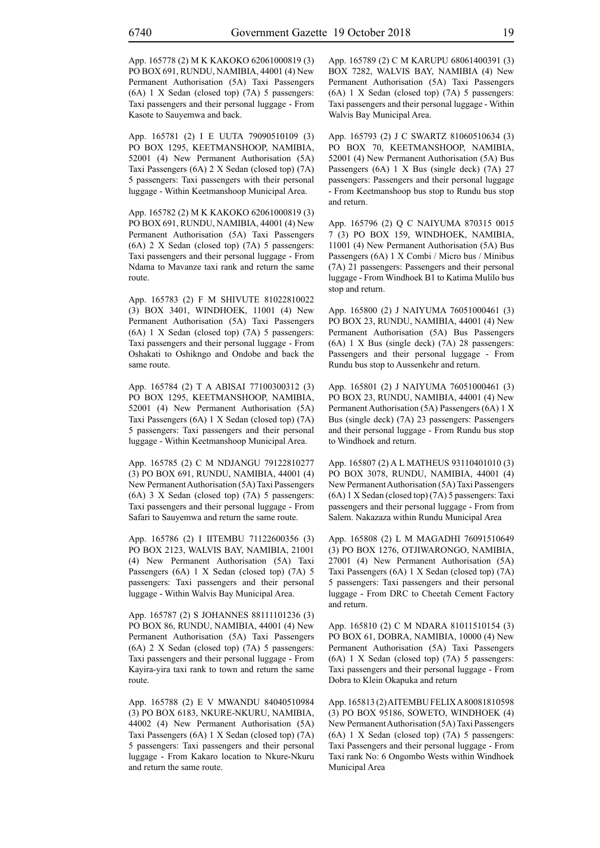App. 165778 (2) M K KAKOKO 62061000819 (3) PO BOX 691, RUNDU, NAMIBIA, 44001 (4) New Permanent Authorisation (5A) Taxi Passengers (6A) 1 X Sedan (closed top) (7A) 5 passengers: Taxi passengers and their personal luggage - From Kasote to Sauyemwa and back.

App. 165781 (2) I E UUTA 79090510109 (3) PO BOX 1295, KEETMANSHOOP, NAMIBIA, 52001 (4) New Permanent Authorisation (5A) Taxi Passengers (6A) 2 X Sedan (closed top) (7A) 5 passengers: Taxi passengers with their personal luggage - Within Keetmanshoop Municipal Area.

App. 165782 (2) M K KAKOKO 62061000819 (3) PO BOX 691, RUNDU, NAMIBIA, 44001 (4) New Permanent Authorisation (5A) Taxi Passengers (6A) 2 X Sedan (closed top) (7A) 5 passengers: Taxi passengers and their personal luggage - From Ndama to Mavanze taxi rank and return the same route.

App. 165783 (2) F M SHIVUTE 81022810022 (3) BOX 3401, WINDHOEK, 11001 (4) New Permanent Authorisation (5A) Taxi Passengers (6A) 1 X Sedan (closed top) (7A) 5 passengers: Taxi passengers and their personal luggage - From Oshakati to Oshikngo and Ondobe and back the same route.

App. 165784 (2) T A ABISAI 77100300312 (3) PO BOX 1295, KEETMANSHOOP, NAMIBIA, 52001 (4) New Permanent Authorisation (5A) Taxi Passengers (6A) 1 X Sedan (closed top) (7A) 5 passengers: Taxi passengers and their personal luggage - Within Keetmanshoop Municipal Area.

App. 165785 (2) C M NDJANGU 79122810277 (3) PO BOX 691, RUNDU, NAMIBIA, 44001 (4) New Permanent Authorisation (5A) Taxi Passengers (6A) 3 X Sedan (closed top) (7A) 5 passengers: Taxi passengers and their personal luggage - From Safari to Sauyemwa and return the same route.

App. 165786 (2) I IITEMBU 71122600356 (3) PO BOX 2123, WALVIS BAY, NAMIBIA, 21001 (4) New Permanent Authorisation (5A) Taxi Passengers (6A) 1 X Sedan (closed top) (7A) 5 passengers: Taxi passengers and their personal luggage - Within Walvis Bay Municipal Area.

App. 165787 (2) S JOHANNES 88111101236 (3) PO BOX 86, RUNDU, NAMIBIA, 44001 (4) New Permanent Authorisation (5A) Taxi Passengers (6A) 2 X Sedan (closed top) (7A) 5 passengers: Taxi passengers and their personal luggage - From Kayira-yira taxi rank to town and return the same route.

App. 165788 (2) E V MWANDU 84040510984 (3) PO BOX 6183, NKURE-NKURU, NAMIBIA, 44002 (4) New Permanent Authorisation (5A) Taxi Passengers (6A) 1 X Sedan (closed top) (7A) 5 passengers: Taxi passengers and their personal luggage - From Kakaro location to Nkure-Nkuru and return the same route.

App. 165789 (2) C M KARUPU 68061400391 (3) BOX 7282, WALVIS BAY, NAMIBIA (4) New Permanent Authorisation (5A) Taxi Passengers (6A) 1 X Sedan (closed top) (7A) 5 passengers: Taxi passengers and their personal luggage - Within Walvis Bay Municipal Area.

App. 165793 (2) J C SWARTZ 81060510634 (3) PO BOX 70, KEETMANSHOOP, NAMIBIA, 52001 (4) New Permanent Authorisation (5A) Bus Passengers (6A) 1 X Bus (single deck) (7A) 27 passengers: Passengers and their personal luggage - From Keetmanshoop bus stop to Rundu bus stop and return.

App. 165796 (2) Q C NAIYUMA 870315 0015 7 (3) PO BOX 159, WINDHOEK, NAMIBIA, 11001 (4) New Permanent Authorisation (5A) Bus Passengers (6A) 1 X Combi / Micro bus / Minibus (7A) 21 passengers: Passengers and their personal luggage - From Windhoek B1 to Katima Mulilo bus stop and return.

App. 165800 (2) J NAIYUMA 76051000461 (3) PO BOX 23, RUNDU, NAMIBIA, 44001 (4) New Permanent Authorisation (5A) Bus Passengers (6A) 1 X Bus (single deck) (7A) 28 passengers: Passengers and their personal luggage - From Rundu bus stop to Aussenkehr and return.

App. 165801 (2) J NAIYUMA 76051000461 (3) PO BOX 23, RUNDU, NAMIBIA, 44001 (4) New Permanent Authorisation (5A) Passengers (6A) 1 X Bus (single deck) (7A) 23 passengers: Passengers and their personal luggage - From Rundu bus stop to Windhoek and return.

App. 165807 (2) A L MATHEUS 93110401010 (3) PO BOX 3078, RUNDU, NAMIBIA, 44001 (4) New Permanent Authorisation (5A) Taxi Passengers (6A) 1 X Sedan (closed top) (7A) 5 passengers: Taxi passengers and their personal luggage - From from Salem. Nakazaza within Rundu Municipal Area

App. 165808 (2) L M MAGADHI 76091510649 (3) PO BOX 1276, OTJIWARONGO, NAMIBIA, 27001 (4) New Permanent Authorisation (5A) Taxi Passengers (6A) 1 X Sedan (closed top) (7A) 5 passengers: Taxi passengers and their personal luggage - From DRC to Cheetah Cement Factory and return.

App. 165810 (2) C M NDARA 81011510154 (3) PO BOX 61, DOBRA, NAMIBIA, 10000 (4) New Permanent Authorisation (5A) Taxi Passengers (6A) 1 X Sedan (closed top) (7A) 5 passengers: Taxi passengers and their personal luggage - From Dobra to Klein Okapuka and return

App. 165813 (2) AITEMBU FELIX A 80081810598 (3) PO BOX 95186, SOWETO, WINDHOEK (4) New Permanent Authorisation (5A) Taxi Passengers (6A) 1 X Sedan (closed top) (7A) 5 passengers: Taxi Passengers and their personal luggage - From Taxi rank No: 6 Ongombo Wests within Windhoek Municipal Area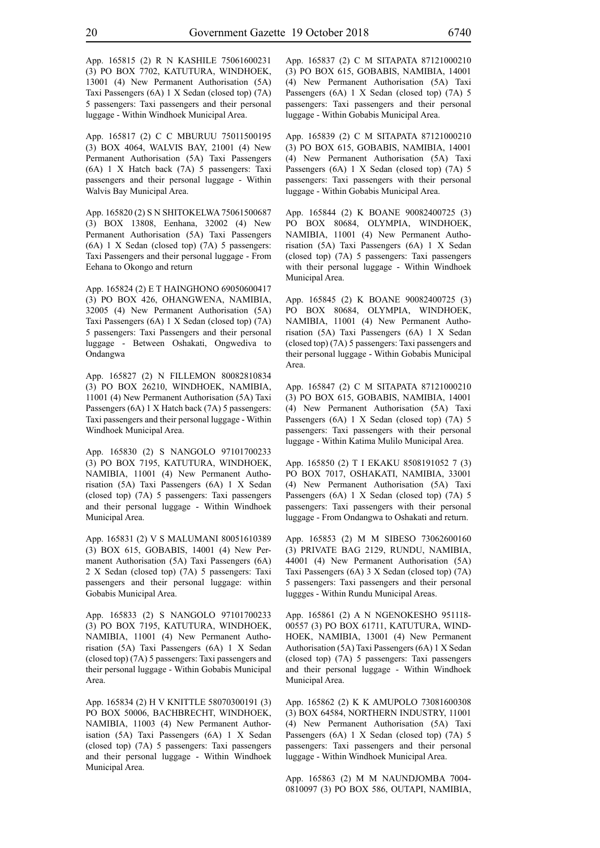App. 165815 (2) R N KASHILE 75061600231 (3) PO BOX 7702, KATUTURA, WINDHOEK, 13001 (4) New Permanent Authorisation (5A) Taxi Passengers (6A) 1 X Sedan (closed top) (7A) 5 passengers: Taxi passengers and their personal luggage - Within Windhoek Municipal Area.

App. 165817 (2) C C MBURUU 75011500195 (3) BOX 4064, WALVIS BAY, 21001 (4) New Permanent Authorisation (5A) Taxi Passengers (6A) 1 X Hatch back (7A) 5 passengers: Taxi passengers and their personal luggage - Within Walvis Bay Municipal Area.

App. 165820 (2) S N SHITOKELWA 75061500687 (3) BOX 13808, Eenhana, 32002 (4) New Permanent Authorisation (5A) Taxi Passengers (6A) 1 X Sedan (closed top) (7A) 5 passengers: Taxi Passengers and their personal luggage - From Eehana to Okongo and return

App. 165824 (2) E T HAINGHONO 69050600417 (3) PO BOX 426, OHANGWENA, NAMIBIA, 32005 (4) New Permanent Authorisation (5A) Taxi Passengers (6A) 1 X Sedan (closed top) (7A) 5 passengers: Taxi Passengers and their personal luggage - Between Oshakati, Ongwediva to Ondangwa

App. 165827 (2) N FILLEMON 80082810834 (3) PO BOX 26210, WINDHOEK, NAMIBIA, 11001 (4) New Permanent Authorisation (5A) Taxi Passengers (6A) 1 X Hatch back (7A) 5 passengers: Taxi passengers and their personal luggage - Within Windhoek Municipal Area.

App. 165830 (2) S NANGOLO 97101700233 (3) PO BOX 7195, KATUTURA, WINDHOEK, NAMIBIA, 11001 (4) New Permanent Authorisation (5A) Taxi Passengers (6A) 1 X Sedan (closed top) (7A) 5 passengers: Taxi passengers and their personal luggage - Within Windhoek Municipal Area.

App. 165831 (2) V S MALUMANI 80051610389 (3) BOX 615, GOBABIS, 14001 (4) New Permanent Authorisation (5A) Taxi Passengers (6A) 2 X Sedan (closed top) (7A) 5 passengers: Taxi passengers and their personal luggage: within Gobabis Municipal Area.

App. 165833 (2) S NANGOLO 97101700233 (3) PO BOX 7195, KATUTURA, WINDHOEK, NAMIBIA, 11001 (4) New Permanent Authorisation (5A) Taxi Passengers (6A) 1 X Sedan (closed top) (7A) 5 passengers: Taxi passengers and their personal luggage - Within Gobabis Municipal Area.

App. 165834 (2) H V KNITTLE 58070300191 (3) PO BOX 50006, BACHBRECHT, WINDHOEK, NAMIBIA, 11003 (4) New Permanent Authorisation (5A) Taxi Passengers (6A) 1 X Sedan (closed top) (7A) 5 passengers: Taxi passengers and their personal luggage - Within Windhoek Municipal Area.

App. 165837 (2) C M SITAPATA 87121000210 (3) PO BOX 615, GOBABIS, NAMIBIA, 14001 (4) New Permanent Authorisation (5A) Taxi Passengers (6A) 1 X Sedan (closed top) (7A) 5 passengers: Taxi passengers and their personal luggage - Within Gobabis Municipal Area.

App. 165839 (2) C M SITAPATA 87121000210 (3) PO BOX 615, GOBABIS, NAMIBIA, 14001 (4) New Permanent Authorisation (5A) Taxi Passengers (6A) 1 X Sedan (closed top) (7A) 5 passengers: Taxi passengers with their personal luggage - Within Gobabis Municipal Area.

App. 165844 (2) K BOANE 90082400725 (3) PO BOX 80684, OLYMPIA, WINDHOEK, NAMIBIA, 11001 (4) New Permanent Authorisation (5A) Taxi Passengers (6A) 1 X Sedan (closed top) (7A) 5 passengers: Taxi passengers with their personal luggage - Within Windhoek Municipal Area.

App. 165845 (2) K BOANE 90082400725 (3) PO BOX 80684, OLYMPIA, WINDHOEK, NAMIBIA, 11001 (4) New Permanent Authorisation (5A) Taxi Passengers (6A) 1 X Sedan (closed top) (7A) 5 passengers: Taxi passengers and their personal luggage - Within Gobabis Municipal Area.

App. 165847 (2) C M SITAPATA 87121000210 (3) PO BOX 615, GOBABIS, NAMIBIA, 14001 (4) New Permanent Authorisation (5A) Taxi Passengers (6A) 1 X Sedan (closed top) (7A) 5 passengers: Taxi passengers with their personal luggage - Within Katima Mulilo Municipal Area.

App. 165850 (2) T I EKAKU 8508191052 7 (3) PO BOX 7017, OSHAKATI, NAMIBIA, 33001 (4) New Permanent Authorisation (5A) Taxi Passengers (6A) 1 X Sedan (closed top) (7A) 5 passengers: Taxi passengers with their personal luggage - From Ondangwa to Oshakati and return.

App. 165853 (2) M M SIBESO 73062600160 (3) PRIVATE BAG 2129, RUNDU, NAMIBIA, 44001 (4) New Permanent Authorisation (5A) Taxi Passengers (6A) 3 X Sedan (closed top) (7A) 5 passengers: Taxi passengers and their personal luggges - Within Rundu Municipal Areas.

App. 165861 (2) A N NGENOKESHO 951118- 00557 (3) PO BOX 61711, KATUTURA, WIND-HOEK, NAMIBIA, 13001 (4) New Permanent Authorisation (5A) Taxi Passengers (6A) 1 X Sedan (closed top) (7A) 5 passengers: Taxi passengers and their personal luggage - Within Windhoek Municipal Area.

App. 165862 (2) K K AMUPOLO 73081600308 (3) BOX 64584, NORTHERN INDUSTRY, 11001 (4) New Permanent Authorisation (5A) Taxi Passengers (6A) 1 X Sedan (closed top) (7A) 5 passengers: Taxi passengers and their personal luggage - Within Windhoek Municipal Area.

App. 165863 (2) M M NAUNDJOMBA 7004- 0810097 (3) PO BOX 586, OUTAPI, NAMIBIA,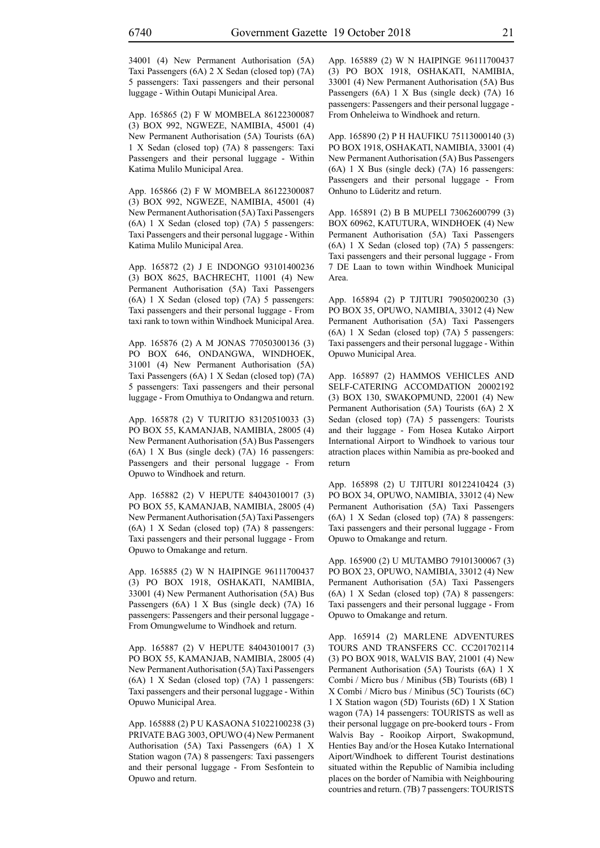34001 (4) New Permanent Authorisation (5A) Taxi Passengers (6A) 2 X Sedan (closed top) (7A) 5 passengers: Taxi passengers and their personal luggage - Within Outapi Municipal Area.

App. 165865 (2) F W MOMBELA 86122300087 (3) BOX 992, NGWEZE, NAMIBIA, 45001 (4) New Permanent Authorisation (5A) Tourists (6A) 1 X Sedan (closed top) (7A) 8 passengers: Taxi Passengers and their personal luggage - Within Katima Mulilo Municipal Area.

App. 165866 (2) F W MOMBELA 86122300087 (3) BOX 992, NGWEZE, NAMIBIA, 45001 (4) New Permanent Authorisation (5A) Taxi Passengers (6A) 1 X Sedan (closed top) (7A) 5 passengers: Taxi Passengers and their personal luggage - Within Katima Mulilo Municipal Area.

App. 165872 (2) J E INDONGO 93101400236 (3) BOX 8625, BACHRECHT, 11001 (4) New Permanent Authorisation (5A) Taxi Passengers (6A) 1 X Sedan (closed top) (7A) 5 passengers: Taxi passengers and their personal luggage - From taxi rank to town within Windhoek Municipal Area.

App. 165876 (2) A M JONAS 77050300136 (3) PO BOX 646, ONDANGWA, WINDHOEK, 31001 (4) New Permanent Authorisation (5A) Taxi Passengers (6A) 1 X Sedan (closed top) (7A) 5 passengers: Taxi passengers and their personal luggage - From Omuthiya to Ondangwa and return.

App. 165878 (2) V TURITJO 83120510033 (3) PO BOX 55, KAMANJAB, NAMIBIA, 28005 (4) New Permanent Authorisation (5A) Bus Passengers (6A) 1 X Bus (single deck) (7A) 16 passengers: Passengers and their personal luggage - From Opuwo to Windhoek and return.

App. 165882 (2) V HEPUTE 84043010017 (3) PO BOX 55, KAMANJAB, NAMIBIA, 28005 (4) New Permanent Authorisation (5A) Taxi Passengers (6A) 1 X Sedan (closed top) (7A) 8 passengers: Taxi passengers and their personal luggage - From Opuwo to Omakange and return.

App. 165885 (2) W N HAIPINGE 96111700437 (3) PO BOX 1918, OSHAKATI, NAMIBIA, 33001 (4) New Permanent Authorisation (5A) Bus Passengers (6A) 1 X Bus (single deck) (7A) 16 passengers: Passengers and their personal luggage - From Omungwelume to Windhoek and return.

App. 165887 (2) V HEPUTE 84043010017 (3) PO BOX 55, KAMANJAB, NAMIBIA, 28005 (4) New Permanent Authorisation (5A) Taxi Passengers (6A) 1 X Sedan (closed top) (7A) 1 passengers: Taxi passengers and their personal luggage - Within Opuwo Municipal Area.

App. 165888 (2) P U KASAONA 51022100238 (3) PRIVATE BAG 3003, OPUWO (4) New Permanent Authorisation (5A) Taxi Passengers (6A) 1 X Station wagon (7A) 8 passengers: Taxi passengers and their personal luggage - From Sesfontein to Opuwo and return.

App. 165889 (2) W N HAIPINGE 96111700437 (3) PO BOX 1918, OSHAKATI, NAMIBIA, 33001 (4) New Permanent Authorisation (5A) Bus Passengers (6A) 1 X Bus (single deck) (7A) 16 passengers: Passengers and their personal luggage - From Onheleiwa to Windhoek and return.

App. 165890 (2) P H HAUFIKU 75113000140 (3) PO BOX 1918, OSHAKATI, NAMIBIA, 33001 (4) New Permanent Authorisation (5A) Bus Passengers (6A) 1 X Bus (single deck) (7A) 16 passengers: Passengers and their personal luggage - From Onhuno to Lüderitz and return.

App. 165891 (2) B B MUPELI 73062600799 (3) BOX 60962, KATUTURA, WINDHOEK (4) New Permanent Authorisation (5A) Taxi Passengers (6A) 1 X Sedan (closed top) (7A) 5 passengers: Taxi passengers and their personal luggage - From 7 DE Laan to town within Windhoek Municipal Area.

App. 165894 (2) P TJITURI 79050200230 (3) PO BOX 35, OPUWO, NAMIBIA, 33012 (4) New Permanent Authorisation (5A) Taxi Passengers (6A) 1 X Sedan (closed top) (7A) 5 passengers: Taxi passengers and their personal luggage - Within Opuwo Municipal Area.

App. 165897 (2) HAMMOS VEHICLES AND SELF-CATERING ACCOMDATION 20002192 (3) BOX 130, SWAKOPMUND, 22001 (4) New Permanent Authorisation (5A) Tourists (6A) 2 X Sedan (closed top) (7A) 5 passengers: Tourists and their luggage - Fom Hosea Kutako Airport International Airport to Windhoek to various tour atraction places within Namibia as pre-booked and return

App. 165898 (2) U TJITURI 80122410424 (3) PO BOX 34, OPUWO, NAMIBIA, 33012 (4) New Permanent Authorisation (5A) Taxi Passengers (6A) 1 X Sedan (closed top) (7A) 8 passengers: Taxi passengers and their personal luggage - From Opuwo to Omakange and return.

App. 165900 (2) U MUTAMBO 79101300067 (3) PO BOX 23, OPUWO, NAMIBIA, 33012 (4) New Permanent Authorisation (5A) Taxi Passengers (6A) 1 X Sedan (closed top) (7A) 8 passengers: Taxi passengers and their personal luggage - From Opuwo to Omakange and return.

App. 165914 (2) MARLENE ADVENTURES TOURS AND TRANSFERS CC. CC201702114 (3) PO BOX 9018, WALVIS BAY, 21001 (4) New Permanent Authorisation (5A) Tourists (6A) 1 X Combi / Micro bus / Minibus (5B) Tourists (6B) 1 X Combi / Micro bus / Minibus (5C) Tourists (6C) 1 X Station wagon (5D) Tourists (6D) 1 X Station wagon (7A) 14 passengers: TOURISTS as well as their personal luggage on pre-bookerd tours - From Walvis Bay - Rooikop Airport, Swakopmund, Henties Bay and/or the Hosea Kutako International Aiport/Windhoek to different Tourist destinations situated within the Republic of Namibia including places on the border of Namibia with Neighbouring countries and return. (7B) 7 passengers: TOURISTS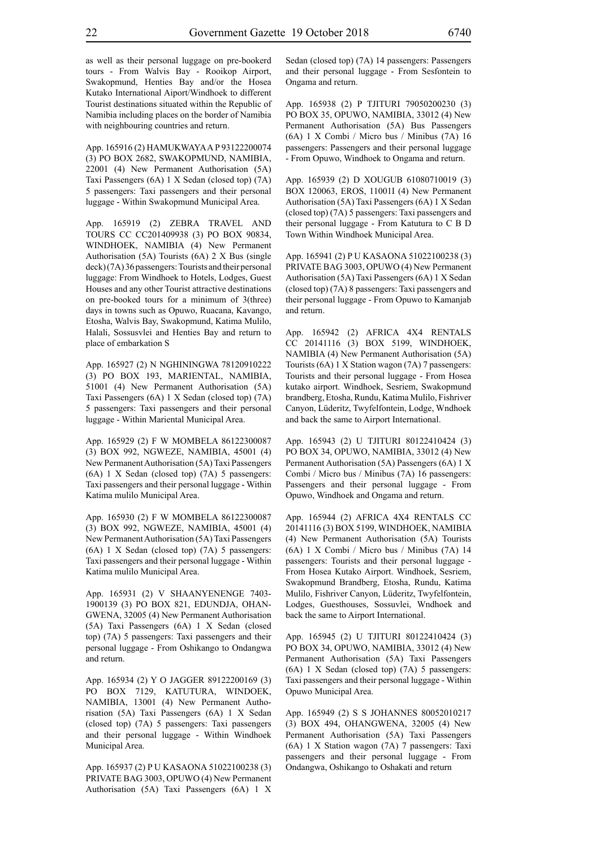as well as their personal luggage on pre-bookerd tours - From Walvis Bay - Rooikop Airport, Swakopmund, Henties Bay and/or the Hosea Kutako International Aiport/Windhoek to different Tourist destinations situated within the Republic of Namibia including places on the border of Namibia with neighbouring countries and return.

App. 165916 (2) HAMUKWAYA A P 93122200074 (3) PO BOX 2682, SWAKOPMUND, NAMIBIA, 22001 (4) New Permanent Authorisation (5A) Taxi Passengers (6A) 1 X Sedan (closed top) (7A) 5 passengers: Taxi passengers and their personal luggage - Within Swakopmund Municipal Area.

App. 165919 (2) ZEBRA TRAVEL AND TOURS CC CC201409938 (3) PO BOX 90834, WINDHOEK, NAMIBIA (4) New Permanent Authorisation (5A) Tourists (6A) 2 X Bus (single deck) (7A) 36 passengers: Tourists and their personal luggage: From Windhoek to Hotels, Lodges, Guest Houses and any other Tourist attractive destinations on pre-booked tours for a minimum of 3(three) days in towns such as Opuwo, Ruacana, Kavango, Etosha, Walvis Bay, Swakopmund, Katima Mulilo, Halali, Sossusvlei and Henties Bay and return to place of embarkation S

App. 165927 (2) N NGHININGWA 78120910222 (3) PO BOX 193, MARIENTAL, NAMIBIA, 51001 (4) New Permanent Authorisation (5A) Taxi Passengers (6A) 1 X Sedan (closed top) (7A) 5 passengers: Taxi passengers and their personal luggage - Within Mariental Municipal Area.

App. 165929 (2) F W MOMBELA 86122300087 (3) BOX 992, NGWEZE, NAMIBIA, 45001 (4) New Permanent Authorisation (5A) Taxi Passengers (6A) 1 X Sedan (closed top) (7A) 5 passengers: Taxi passengers and their personal luggage - Within Katima mulilo Municipal Area.

App. 165930 (2) F W MOMBELA 86122300087 (3) BOX 992, NGWEZE, NAMIBIA, 45001 (4) New Permanent Authorisation (5A) Taxi Passengers (6A) 1 X Sedan (closed top) (7A) 5 passengers: Taxi passengers and their personal luggage - Within Katima mulilo Municipal Area.

App. 165931 (2) V SHAANYENENGE 7403- 1900139 (3) PO BOX 821, EDUNDJA, OHAN-GWENA, 32005 (4) New Permanent Authorisation (5A) Taxi Passengers (6A) 1 X Sedan (closed top) (7A) 5 passengers: Taxi passengers and their personal luggage - From Oshikango to Ondangwa and return.

App. 165934 (2) Y O JAGGER 89122200169 (3) PO BOX 7129, KATUTURA, WINDOEK, NAMIBIA, 13001 (4) New Permanent Authorisation (5A) Taxi Passengers (6A) 1 X Sedan (closed top) (7A) 5 passengers: Taxi passengers and their personal luggage - Within Windhoek Municipal Area.

App. 165937 (2) P U KASAONA 51022100238 (3) PRIVATE BAG 3003, OPUWO (4) New Permanent Authorisation (5A) Taxi Passengers (6A) 1 X Sedan (closed top) (7A) 14 passengers: Passengers and their personal luggage - From Sesfontein to Ongama and return.

App. 165938 (2) P TJITURI 79050200230 (3) PO BOX 35, OPUWO, NAMIBIA, 33012 (4) New Permanent Authorisation (5A) Bus Passengers (6A) 1 X Combi / Micro bus / Minibus (7A) 16 passengers: Passengers and their personal luggage - From Opuwo, Windhoek to Ongama and return.

App. 165939 (2) D XOUGUB 61080710019 (3) BOX 120063, EROS, 11001I (4) New Permanent Authorisation (5A) Taxi Passengers (6A) 1 X Sedan (closed top) (7A) 5 passengers: Taxi passengers and their personal luggage - From Katutura to C B D Town Within Windhoek Municipal Area.

App. 165941 (2) P U KASAONA 51022100238 (3) PRIVATE BAG 3003, OPUWO (4) New Permanent Authorisation (5A) Taxi Passengers (6A) 1 X Sedan (closed top) (7A) 8 passengers: Taxi passengers and their personal luggage - From Opuwo to Kamanjab and return.

App. 165942 (2) AFRICA 4X4 RENTALS CC 20141116 (3) BOX 5199, WINDHOEK, NAMIBIA (4) New Permanent Authorisation (5A) Tourists (6A) 1 X Station wagon (7A) 7 passengers: Tourists and their personal luggage - From Hosea kutako airport. Windhoek, Sesriem, Swakopmund brandberg, Etosha, Rundu, Katima Mulilo, Fishriver Canyon, Lüderitz, Twyfelfontein, Lodge, Wndhoek and back the same to Airport International.

App. 165943 (2) U TJITURI 80122410424 (3) PO BOX 34, OPUWO, NAMIBIA, 33012 (4) New Permanent Authorisation (5A) Passengers (6A) 1 X Combi / Micro bus / Minibus (7A) 16 passengers: Passengers and their personal luggage - From Opuwo, Windhoek and Ongama and return.

App. 165944 (2) AFRICA 4X4 RENTALS CC 20141116 (3) BOX 5199, WINDHOEK, NAMIBIA (4) New Permanent Authorisation (5A) Tourists (6A) 1 X Combi / Micro bus / Minibus (7A) 14 passengers: Tourists and their personal luggage - From Hosea Kutako Airport. Windhoek, Sesriem, Swakopmund Brandberg, Etosha, Rundu, Katima Mulilo, Fishriver Canyon, Lüderitz, Twyfelfontein, Lodges, Guesthouses, Sossuvlei, Wndhoek and back the same to Airport International.

App. 165945 (2) U TJITURI 80122410424 (3) PO BOX 34, OPUWO, NAMIBIA, 33012 (4) New Permanent Authorisation (5A) Taxi Passengers (6A) 1 X Sedan (closed top) (7A) 5 passengers: Taxi passengers and their personal luggage - Within Opuwo Municipal Area.

App. 165949 (2) S S JOHANNES 80052010217 (3) BOX 494, OHANGWENA, 32005 (4) New Permanent Authorisation (5A) Taxi Passengers (6A) 1 X Station wagon (7A) 7 passengers: Taxi passengers and their personal luggage - From Ondangwa, Oshikango to Oshakati and return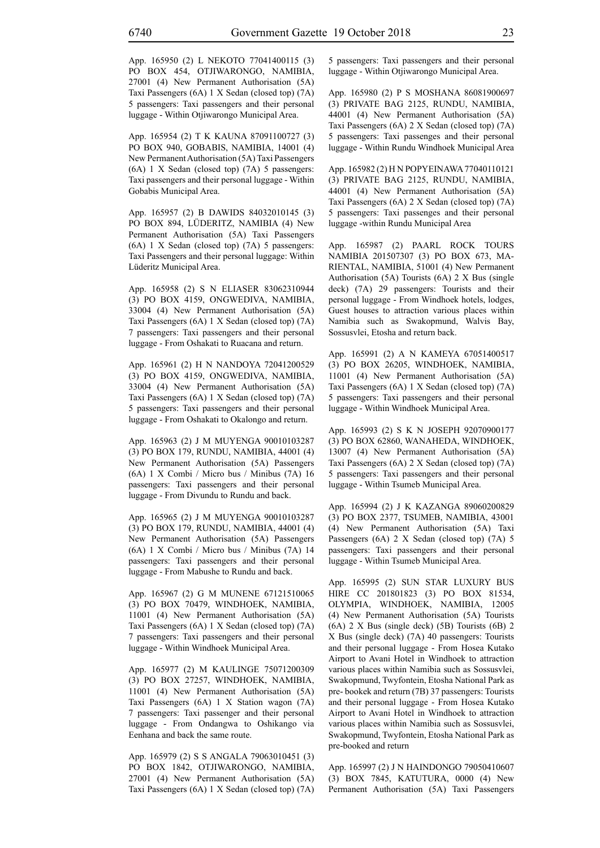App. 165950 (2) L NEKOTO 77041400115 (3) PO BOX 454, OTJIWARONGO, NAMIBIA, 27001 (4) New Permanent Authorisation (5A) Taxi Passengers (6A) 1 X Sedan (closed top) (7A) 5 passengers: Taxi passengers and their personal luggage - Within Otjiwarongo Municipal Area.

App. 165954 (2) T K KAUNA 87091100727 (3) PO BOX 940, GOBABIS, NAMIBIA, 14001 (4) New Permanent Authorisation (5A) Taxi Passengers (6A) 1 X Sedan (closed top) (7A) 5 passengers: Taxi passengers and their personal luggage - Within Gobabis Municipal Area.

App. 165957 (2) B DAWIDS 84032010145 (3) PO BOX 894, LÜDERITZ, NAMIBIA (4) New Permanent Authorisation (5A) Taxi Passengers (6A) 1 X Sedan (closed top) (7A) 5 passengers: Taxi Passengers and their personal luggage: Within Lüderitz Municipal Area.

App. 165958 (2) S N ELIASER 83062310944 (3) PO BOX 4159, ONGWEDIVA, NAMIBIA, 33004 (4) New Permanent Authorisation (5A) Taxi Passengers (6A) 1 X Sedan (closed top) (7A) 7 passengers: Taxi passengers and their personal luggage - From Oshakati to Ruacana and return.

App. 165961 (2) H N NANDOYA 72041200529 (3) PO BOX 4159, ONGWEDIVA, NAMIBIA, 33004 (4) New Permanent Authorisation (5A) Taxi Passengers (6A) 1 X Sedan (closed top) (7A) 5 passengers: Taxi passengers and their personal luggage - From Oshakati to Okalongo and return.

App. 165963 (2) J M MUYENGA 90010103287 (3) PO BOX 179, RUNDU, NAMIBIA, 44001 (4) New Permanent Authorisation (5A) Passengers (6A) 1 X Combi / Micro bus / Minibus (7A) 16 passengers: Taxi passengers and their personal luggage - From Divundu to Rundu and back.

App. 165965 (2) J M MUYENGA 90010103287 (3) PO BOX 179, RUNDU, NAMIBIA, 44001 (4) New Permanent Authorisation (5A) Passengers (6A) 1 X Combi / Micro bus / Minibus (7A) 14 passengers: Taxi passengers and their personal luggage - From Mabushe to Rundu and back.

App. 165967 (2) G M MUNENE 67121510065 (3) PO BOX 70479, WINDHOEK, NAMIBIA, 11001 (4) New Permanent Authorisation (5A) Taxi Passengers (6A) 1 X Sedan (closed top) (7A) 7 passengers: Taxi passengers and their personal luggage - Within Windhoek Municipal Area.

App. 165977 (2) M KAULINGE 75071200309 (3) PO BOX 27257, WINDHOEK, NAMIBIA, 11001 (4) New Permanent Authorisation (5A) Taxi Passengers (6A) 1 X Station wagon (7A) 7 passengers: Taxi passenger and their personal luggage - From Ondangwa to Oshikango via Eenhana and back the same route.

App. 165979 (2) S S ANGALA 79063010451 (3) PO BOX 1842, OTJIWARONGO, NAMIBIA, 27001 (4) New Permanent Authorisation (5A) Taxi Passengers (6A) 1 X Sedan (closed top) (7A) 5 passengers: Taxi passengers and their personal luggage - Within Otjiwarongo Municipal Area.

App. 165980 (2) P S MOSHANA 86081900697 (3) PRIVATE BAG 2125, RUNDU, NAMIBIA, 44001 (4) New Permanent Authorisation (5A) Taxi Passengers (6A) 2 X Sedan (closed top) (7A) 5 passengers: Taxi passenges and their personal luggage - Within Rundu Windhoek Municipal Area

App. 165982 (2) H N POPYEINAWA 77040110121 (3) PRIVATE BAG 2125, RUNDU, NAMIBIA, 44001 (4) New Permanent Authorisation (5A) Taxi Passengers (6A) 2 X Sedan (closed top) (7A) 5 passengers: Taxi passenges and their personal luggage -within Rundu Municipal Area

App. 165987 (2) PAARL ROCK TOURS NAMIBIA 201507307 (3) PO BOX 673, MA-RIENTAL, NAMIBIA, 51001 (4) New Permanent Authorisation (5A) Tourists (6A) 2 X Bus (single deck) (7A) 29 passengers: Tourists and their personal luggage - From Windhoek hotels, lodges, Guest houses to attraction various places within Namibia such as Swakopmund, Walvis Bay, Sossusvlei, Etosha and return back.

App. 165991 (2) A N KAMEYA 67051400517 (3) PO BOX 26205, WINDHOEK, NAMIBIA, 11001 (4) New Permanent Authorisation (5A) Taxi Passengers (6A) 1 X Sedan (closed top) (7A) 5 passengers: Taxi passengers and their personal luggage - Within Windhoek Municipal Area.

App. 165993 (2) S K N JOSEPH 92070900177 (3) PO BOX 62860, WANAHEDA, WINDHOEK, 13007 (4) New Permanent Authorisation (5A) Taxi Passengers (6A) 2 X Sedan (closed top) (7A) 5 passengers: Taxi passengers and their personal luggage - Within Tsumeb Municipal Area.

App. 165994 (2) J K KAZANGA 89060200829 (3) PO BOX 2377, TSUMEB, NAMIBIA, 43001 (4) New Permanent Authorisation (5A) Taxi Passengers (6A) 2 X Sedan (closed top) (7A) 5 passengers: Taxi passengers and their personal luggage - Within Tsumeb Municipal Area.

App. 165995 (2) SUN STAR LUXURY BUS HIRE CC 201801823 (3) PO BOX 81534, OLYMPIA, WINDHOEK, NAMIBIA, 12005 (4) New Permanent Authorisation (5A) Tourists (6A) 2 X Bus (single deck) (5B) Tourists (6B) 2 X Bus (single deck) (7A) 40 passengers: Tourists and their personal luggage - From Hosea Kutako Airport to Avani Hotel in Windhoek to attraction various places within Namibia such as Sossusvlei, Swakopmund, Twyfontein, Etosha National Park as pre- bookek and return (7B) 37 passengers: Tourists and their personal luggage - From Hosea Kutako Airport to Avani Hotel in Windhoek to attraction various places within Namibia such as Sossusvlei, Swakopmund, Twyfontein, Etosha National Park as pre-booked and return

App. 165997 (2) J N HAINDONGO 79050410607 (3) BOX 7845, KATUTURA, 0000 (4) New Permanent Authorisation (5A) Taxi Passengers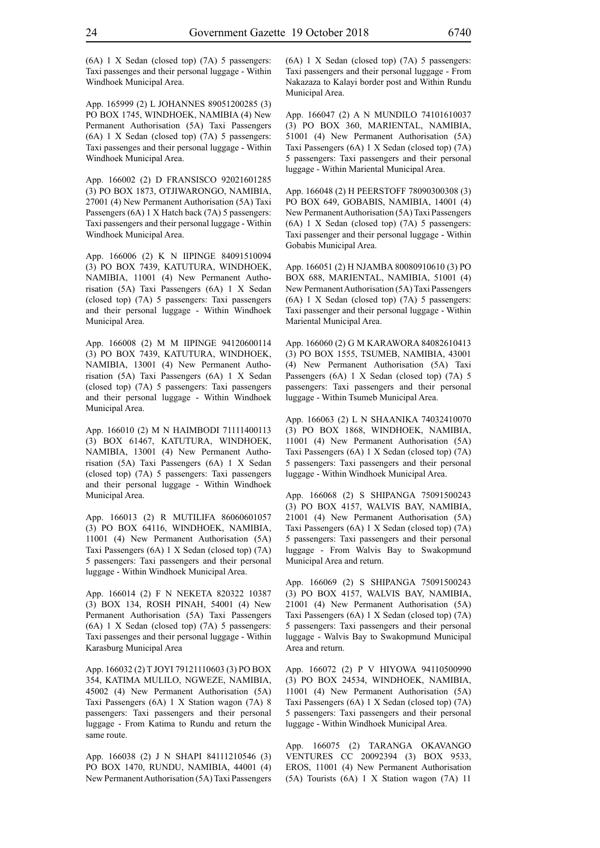(6A) 1 X Sedan (closed top) (7A) 5 passengers: Taxi passenges and their personal luggage - Within Windhoek Municipal Area.

App. 165999 (2) L JOHANNES 89051200285 (3) PO BOX 1745, WINDHOEK, NAMIBIA (4) New Permanent Authorisation (5A) Taxi Passengers (6A) 1 X Sedan (closed top) (7A) 5 passengers: Taxi passenges and their personal luggage - Within Windhoek Municipal Area.

App. 166002 (2) D FRANSISCO 92021601285 (3) PO BOX 1873, OTJIWARONGO, NAMIBIA, 27001 (4) New Permanent Authorisation (5A) Taxi Passengers (6A) 1 X Hatch back (7A) 5 passengers: Taxi passengers and their personal luggage - Within Windhoek Municipal Area.

App. 166006 (2) K N IIPINGE 84091510094 (3) PO BOX 7439, KATUTURA, WINDHOEK, NAMIBIA, 11001 (4) New Permanent Authorisation (5A) Taxi Passengers (6A) 1 X Sedan (closed top) (7A) 5 passengers: Taxi passengers and their personal luggage - Within Windhoek Municipal Area.

App. 166008 (2) M M IIPINGE 94120600114 (3) PO BOX 7439, KATUTURA, WINDHOEK, NAMIBIA, 13001 (4) New Permanent Authorisation (5A) Taxi Passengers (6A) 1 X Sedan (closed top) (7A) 5 passengers: Taxi passengers and their personal luggage - Within Windhoek Municipal Area.

App. 166010 (2) M N HAIMBODI 71111400113 (3) BOX 61467, KATUTURA, WINDHOEK, NAMIBIA, 13001 (4) New Permanent Authorisation (5A) Taxi Passengers (6A) 1 X Sedan (closed top) (7A) 5 passengers: Taxi passengers and their personal luggage - Within Windhoek Municipal Area.

App. 166013 (2) R MUTILIFA 86060601057 (3) PO BOX 64116, WINDHOEK, NAMIBIA, 11001 (4) New Permanent Authorisation (5A) Taxi Passengers (6A) 1 X Sedan (closed top) (7A) 5 passengers: Taxi passengers and their personal luggage - Within Windhoek Municipal Area.

App. 166014 (2) F N NEKETA 820322 10387 (3) BOX 134, ROSH PINAH, 54001 (4) New Permanent Authorisation (5A) Taxi Passengers (6A) 1 X Sedan (closed top) (7A) 5 passengers: Taxi passenges and their personal luggage - Within Karasburg Municipal Area

App. 166032 (2) T JOYI 79121110603 (3) PO BOX 354, KATIMA MULILO, NGWEZE, NAMIBIA, 45002 (4) New Permanent Authorisation (5A) Taxi Passengers (6A) 1 X Station wagon (7A) 8 passengers: Taxi passengers and their personal luggage - From Katima to Rundu and return the same route.

App. 166038 (2) J N SHAPI 84111210546 (3) PO BOX 1470, RUNDU, NAMIBIA, 44001 (4) New Permanent Authorisation (5A) Taxi Passengers (6A) 1 X Sedan (closed top) (7A) 5 passengers: Taxi passengers and their personal luggage - From Nakazaza to Kalayi border post and Within Rundu Municipal Area.

App. 166047 (2) A N MUNDILO 74101610037 (3) PO BOX 360, MARIENTAL, NAMIBIA, 51001 (4) New Permanent Authorisation (5A) Taxi Passengers (6A) 1 X Sedan (closed top) (7A) 5 passengers: Taxi passengers and their personal luggage - Within Mariental Municipal Area.

App. 166048 (2) H PEERSTOFF 78090300308 (3) PO BOX 649, GOBABIS, NAMIBIA, 14001 (4) New Permanent Authorisation (5A) Taxi Passengers (6A) 1 X Sedan (closed top) (7A) 5 passengers: Taxi passenger and their personal luggage - Within Gobabis Municipal Area.

App. 166051 (2) H NJAMBA 80080910610 (3) PO BOX 688, MARIENTAL, NAMIBIA, 51001 (4) New Permanent Authorisation (5A) Taxi Passengers (6A) 1 X Sedan (closed top) (7A) 5 passengers: Taxi passenger and their personal luggage - Within Mariental Municipal Area.

App. 166060 (2) G M KARAWORA 84082610413 (3) PO BOX 1555, TSUMEB, NAMIBIA, 43001 (4) New Permanent Authorisation (5A) Taxi Passengers (6A) 1 X Sedan (closed top) (7A) 5 passengers: Taxi passengers and their personal luggage - Within Tsumeb Municipal Area.

App. 166063 (2) L N SHAANIKA 74032410070 (3) PO BOX 1868, WINDHOEK, NAMIBIA, 11001 (4) New Permanent Authorisation (5A) Taxi Passengers (6A) 1 X Sedan (closed top) (7A) 5 passengers: Taxi passengers and their personal luggage - Within Windhoek Municipal Area.

App. 166068 (2) S SHIPANGA 75091500243 (3) PO BOX 4157, WALVIS BAY, NAMIBIA, 21001 (4) New Permanent Authorisation (5A) Taxi Passengers (6A) 1 X Sedan (closed top) (7A) 5 passengers: Taxi passengers and their personal luggage - From Walvis Bay to Swakopmund Municipal Area and return.

App. 166069 (2) S SHIPANGA 75091500243 (3) PO BOX 4157, WALVIS BAY, NAMIBIA, 21001 (4) New Permanent Authorisation (5A) Taxi Passengers (6A) 1 X Sedan (closed top) (7A) 5 passengers: Taxi passengers and their personal luggage - Walvis Bay to Swakopmund Municipal Area and return.

App. 166072 (2) P V HIYOWA 94110500990 (3) PO BOX 24534, WINDHOEK, NAMIBIA, 11001 (4) New Permanent Authorisation (5A) Taxi Passengers (6A) 1 X Sedan (closed top) (7A) 5 passengers: Taxi passengers and their personal luggage - Within Windhoek Municipal Area.

App. 166075 (2) TARANGA OKAVANGO VENTURES CC 20092394 (3) BOX 9533, EROS, 11001 (4) New Permanent Authorisation (5A) Tourists (6A) 1 X Station wagon (7A) 11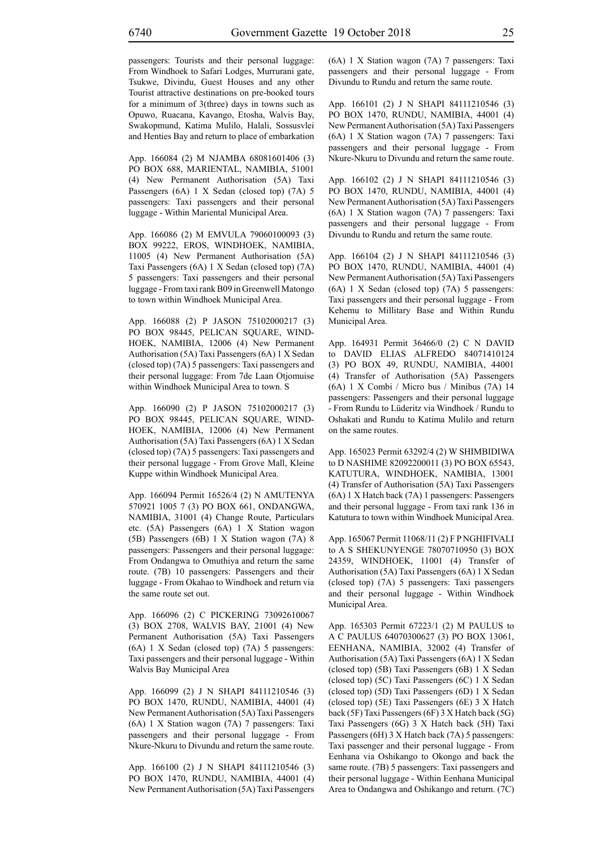passengers: Tourists and their personal luggage: From Windhoek to Safari Lodges, Murrurani gate, Tsukwe, Divindu, Guest Houses and any other Tourist attractive destinations on pre-booked tours for a minimum of 3(three) days in towns such as Opuwo, Ruacana, Kavango, Etosha, Walvis Bay, Swakopmund, Katima Mulilo, Halali, Sossusvlei and Henties Bay and return to place of embarkation

App. 166084 (2) M NJAMBA 68081601406 (3) PO BOX 688, MARIENTAL, NAMIBIA, 51001 (4) New Permanent Authorisation (5A) Taxi Passengers (6A) 1 X Sedan (closed top) (7A) 5 passengers: Taxi passengers and their personal luggage - Within Mariental Municipal Area.

App. 166086 (2) M EMVULA 79060100093 (3) BOX 99222, EROS, WINDHOEK, NAMIBIA, 11005 (4) New Permanent Authorisation (5A) Taxi Passengers (6A) 1 X Sedan (closed top) (7A) 5 passengers: Taxi passengers and their personal luggage - From taxi rank B09 in Greenwell Matongo to town within Windhoek Municipal Area.

App. 166088 (2) P JASON 75102000217 (3) PO BOX 98445, PELICAN SQUARE, WIND-HOEK, NAMIBIA, 12006 (4) New Permanent Authorisation (5A) Taxi Passengers (6A) 1 X Sedan (closed top) (7A) 5 passengers: Taxi passengers and their personal luggage: From 7de Laan Otjomuise within Windhoek Municipal Area to town. S

App. 166090 (2) P JASON 75102000217 (3) PO BOX 98445, PELICAN SQUARE, WIND-HOEK, NAMIBIA, 12006 (4) New Permanent Authorisation (5A) Taxi Passengers (6A) 1 X Sedan (closed top) (7A) 5 passengers: Taxi passengers and their personal luggage - From Grove Mall, Kleine Kuppe within Windhoek Municipal Area.

App. 166094 Permit 16526/4 (2) N AMUTENYA 570921 1005 7 (3) PO BOX 661, ONDANGWA, NAMIBIA, 31001 (4) Change Route, Particulars etc. (5A) Passengers (6A) 1 X Station wagon (5B) Passengers (6B) 1 X Station wagon (7A) 8 passengers: Passengers and their personal luggage: From Ondangwa to Omuthiya and return the same route. (7B) 10 passengers: Passengers and their luggage - From Okahao to Windhoek and return via the same route set out.

App. 166096 (2) C PICKERING 73092610067 (3) BOX 2708, WALVIS BAY, 21001 (4) New Permanent Authorisation (5A) Taxi Passengers (6A) 1 X Sedan (closed top) (7A) 5 passengers: Taxi passengers and their personal luggage - Within Walvis Bay Municipal Area

App. 166099 (2) J N SHAPI 84111210546 (3) PO BOX 1470, RUNDU, NAMIBIA, 44001 (4) New Permanent Authorisation (5A) Taxi Passengers (6A) 1 X Station wagon (7A) 7 passengers: Taxi passengers and their personal luggage - From Nkure-Nkuru to Divundu and return the same route.

App. 166100 (2) J N SHAPI 84111210546 (3) PO BOX 1470, RUNDU, NAMIBIA, 44001 (4) New Permanent Authorisation (5A) Taxi Passengers (6A) 1 X Station wagon (7A) 7 passengers: Taxi passengers and their personal luggage - From Divundu to Rundu and return the same route.

App. 166101 (2) J N SHAPI 84111210546 (3) PO BOX 1470, RUNDU, NAMIBIA, 44001 (4) New Permanent Authorisation (5A) Taxi Passengers (6A) 1 X Station wagon (7A) 7 passengers: Taxi passengers and their personal luggage - From Nkure-Nkuru to Divundu and return the same route.

App. 166102 (2) J N SHAPI 84111210546 (3) PO BOX 1470, RUNDU, NAMIBIA, 44001 (4) New Permanent Authorisation (5A) Taxi Passengers (6A) 1 X Station wagon (7A) 7 passengers: Taxi passengers and their personal luggage - From Divundu to Rundu and return the same route.

App. 166104 (2) J N SHAPI 84111210546 (3) PO BOX 1470, RUNDU, NAMIBIA, 44001 (4) New Permanent Authorisation (5A) Taxi Passengers (6A) 1 X Sedan (closed top) (7A) 5 passengers: Taxi passengers and their personal luggage - From Kehemu to Millitary Base and Within Rundu Municipal Area.

App. 164931 Permit 36466/0 (2) C N DAVID to DAVID ELIAS ALFREDO 84071410124 (3) PO BOX 49, RUNDU, NAMIBIA, 44001 (4) Transfer of Authorisation (5A) Passengers (6A) 1 X Combi / Micro bus / Minibus (7A) 14 passengers: Passengers and their personal luggage - From Rundu to Lüderitz via Windhoek / Rundu to Oshakati and Rundu to Katima Mulilo and return on the same routes.

App. 165023 Permit 63292/4 (2) W SHIMBIDIWA to D NASHIME 82092200011 (3) PO BOX 65543, KATUTURA, WINDHOEK, NAMIBIA, 13001 (4) Transfer of Authorisation (5A) Taxi Passengers (6A) 1 X Hatch back (7A) 1 passengers: Passengers and their personal luggage - From taxi rank 136 in Katutura to town within Windhoek Municipal Area.

App. 165067 Permit 11068/11 (2) F P NGHIFIVALI to A S SHEKUNYENGE 78070710950 (3) BOX 24359, WINDHOEK, 11001 (4) Transfer of Authorisation (5A) Taxi Passengers (6A) 1 X Sedan (closed top) (7A) 5 passengers: Taxi passengers and their personal luggage - Within Windhoek Municipal Area.

App. 165303 Permit 67223/1 (2) M PAULUS to A C PAULUS 64070300627 (3) PO BOX 13061, EENHANA, NAMIBIA, 32002 (4) Transfer of Authorisation (5A) Taxi Passengers (6A) 1 X Sedan (closed top) (5B) Taxi Passengers (6B) 1 X Sedan (closed top) (5C) Taxi Passengers (6C) 1 X Sedan (closed top) (5D) Taxi Passengers (6D) 1 X Sedan (closed top) (5E) Taxi Passengers (6E) 3 X Hatch back (5F) Taxi Passengers (6F) 3 X Hatch back (5G) Taxi Passengers (6G) 3 X Hatch back (5H) Taxi Passengers (6H) 3 X Hatch back (7A) 5 passengers: Taxi passenger and their personal luggage - From Eenhana via Oshikango to Okongo and back the same route. (7B) 5 passengers: Taxi passengers and their personal luggage - Within Eenhana Municipal Area to Ondangwa and Oshikango and return. (7C)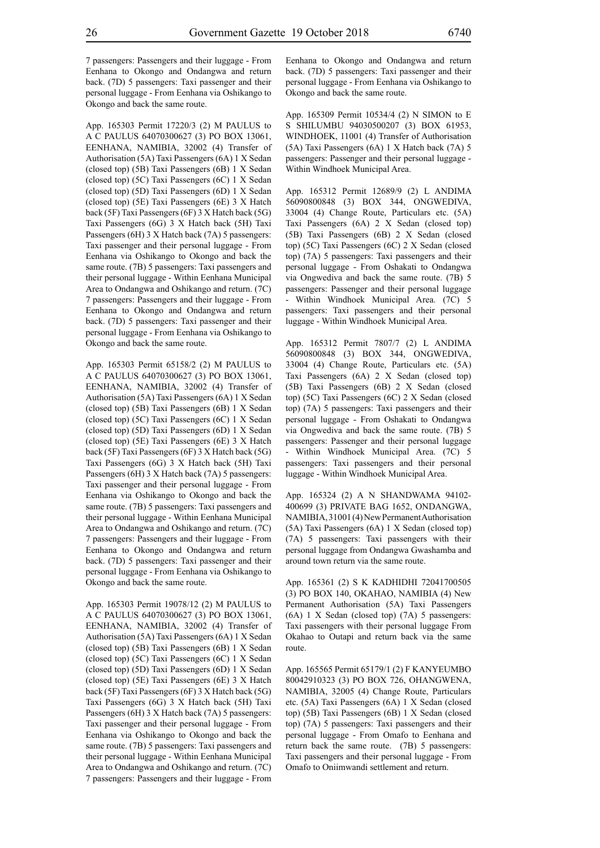7 passengers: Passengers and their luggage - From Eenhana to Okongo and Ondangwa and return back. (7D) 5 passengers: Taxi passenger and their personal luggage - From Eenhana via Oshikango to Okongo and back the same route.

App. 165303 Permit 17220/3 (2) M PAULUS to A C PAULUS 64070300627 (3) PO BOX 13061, EENHANA, NAMIBIA, 32002 (4) Transfer of Authorisation (5A) Taxi Passengers (6A) 1 X Sedan (closed top) (5B) Taxi Passengers (6B) 1 X Sedan (closed top) (5C) Taxi Passengers (6C) 1 X Sedan (closed top) (5D) Taxi Passengers (6D) 1 X Sedan (closed top) (5E) Taxi Passengers (6E) 3 X Hatch back (5F) Taxi Passengers (6F) 3 X Hatch back (5G) Taxi Passengers (6G) 3 X Hatch back (5H) Taxi Passengers (6H) 3 X Hatch back (7A) 5 passengers: Taxi passenger and their personal luggage - From Eenhana via Oshikango to Okongo and back the same route. (7B) 5 passengers: Taxi passengers and their personal luggage - Within Eenhana Municipal Area to Ondangwa and Oshikango and return. (7C) 7 passengers: Passengers and their luggage - From Eenhana to Okongo and Ondangwa and return back. (7D) 5 passengers: Taxi passenger and their personal luggage - From Eenhana via Oshikango to Okongo and back the same route.

App. 165303 Permit 65158/2 (2) M PAULUS to A C PAULUS 64070300627 (3) PO BOX 13061, EENHANA, NAMIBIA, 32002 (4) Transfer of Authorisation (5A) Taxi Passengers (6A) 1 X Sedan (closed top) (5B) Taxi Passengers (6B) 1 X Sedan (closed top) (5C) Taxi Passengers (6C) 1 X Sedan (closed top) (5D) Taxi Passengers (6D) 1 X Sedan (closed top) (5E) Taxi Passengers (6E) 3 X Hatch back (5F) Taxi Passengers (6F) 3 X Hatch back (5G) Taxi Passengers (6G) 3 X Hatch back (5H) Taxi Passengers (6H) 3 X Hatch back (7A) 5 passengers: Taxi passenger and their personal luggage - From Eenhana via Oshikango to Okongo and back the same route. (7B) 5 passengers: Taxi passengers and their personal luggage - Within Eenhana Municipal Area to Ondangwa and Oshikango and return. (7C) 7 passengers: Passengers and their luggage - From Eenhana to Okongo and Ondangwa and return back. (7D) 5 passengers: Taxi passenger and their personal luggage - From Eenhana via Oshikango to Okongo and back the same route.

App. 165303 Permit 19078/12 (2) M PAULUS to A C PAULUS 64070300627 (3) PO BOX 13061, EENHANA, NAMIBIA, 32002 (4) Transfer of Authorisation (5A) Taxi Passengers (6A) 1 X Sedan (closed top) (5B) Taxi Passengers (6B) 1 X Sedan (closed top) (5C) Taxi Passengers (6C) 1 X Sedan (closed top) (5D) Taxi Passengers (6D) 1 X Sedan (closed top) (5E) Taxi Passengers (6E) 3 X Hatch back (5F) Taxi Passengers (6F) 3 X Hatch back (5G) Taxi Passengers (6G) 3 X Hatch back (5H) Taxi Passengers (6H) 3 X Hatch back (7A) 5 passengers: Taxi passenger and their personal luggage - From Eenhana via Oshikango to Okongo and back the same route. (7B) 5 passengers: Taxi passengers and their personal luggage - Within Eenhana Municipal Area to Ondangwa and Oshikango and return. (7C) 7 passengers: Passengers and their luggage - From Eenhana to Okongo and Ondangwa and return back. (7D) 5 passengers: Taxi passenger and their personal luggage - From Eenhana via Oshikango to Okongo and back the same route.

App. 165309 Permit 10534/4 (2) N SIMON to E S SHILUMBU 94030500207 (3) BOX 61953, WINDHOEK, 11001 (4) Transfer of Authorisation (5A) Taxi Passengers (6A) 1 X Hatch back (7A) 5 passengers: Passenger and their personal luggage - Within Windhoek Municipal Area.

App. 165312 Permit 12689/9 (2) L ANDIMA 56090800848 (3) BOX 344, ONGWEDIVA, 33004 (4) Change Route, Particulars etc. (5A) Taxi Passengers (6A) 2 X Sedan (closed top) (5B) Taxi Passengers (6B) 2 X Sedan (closed top) (5C) Taxi Passengers (6C) 2 X Sedan (closed top) (7A) 5 passengers: Taxi passengers and their personal luggage - From Oshakati to Ondangwa via Ongwediva and back the same route. (7B) 5 passengers: Passenger and their personal luggage - Within Windhoek Municipal Area. (7C) 5 passengers: Taxi passengers and their personal luggage - Within Windhoek Municipal Area.

App. 165312 Permit 7807/7 (2) L ANDIMA 56090800848 (3) BOX 344, ONGWEDIVA, 33004 (4) Change Route, Particulars etc. (5A) Taxi Passengers (6A) 2 X Sedan (closed top) (5B) Taxi Passengers (6B) 2 X Sedan (closed top) (5C) Taxi Passengers (6C) 2 X Sedan (closed top) (7A) 5 passengers: Taxi passengers and their personal luggage - From Oshakati to Ondangwa via Ongwediva and back the same route. (7B) 5 passengers: Passenger and their personal luggage - Within Windhoek Municipal Area. (7C) 5 passengers: Taxi passengers and their personal luggage - Within Windhoek Municipal Area.

App. 165324 (2) A N SHANDWAMA 94102- 400699 (3) PRIVATE BAG 1652, ONDANGWA, NAMIBIA, 31001 (4) New Permanent Authorisation (5A) Taxi Passengers (6A) 1 X Sedan (closed top) (7A) 5 passengers: Taxi passengers with their personal luggage from Ondangwa Gwashamba and around town return via the same route.

App. 165361 (2) S K KADHIDHI 72041700505 (3) PO BOX 140, OKAHAO, NAMIBIA (4) New Permanent Authorisation (5A) Taxi Passengers (6A) 1 X Sedan (closed top) (7A) 5 passengers: Taxi passengers with their personal luggage From Okahao to Outapi and return back via the same route.

App. 165565 Permit 65179/1 (2) F KANYEUMBO 80042910323 (3) PO BOX 726, OHANGWENA, NAMIBIA, 32005 (4) Change Route, Particulars etc. (5A) Taxi Passengers (6A) 1 X Sedan (closed top) (5B) Taxi Passengers (6B) 1 X Sedan (closed top) (7A) 5 passengers: Taxi passengers and their personal luggage - From Omafo to Eenhana and return back the same route. (7B) 5 passengers: Taxi passengers and their personal luggage - From Omafo to Oniimwandi settlement and return.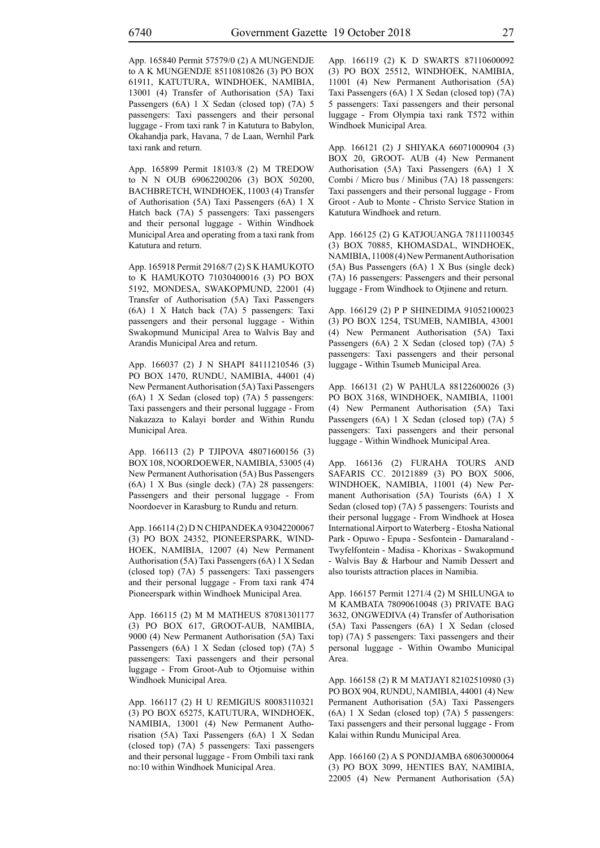App. 165840 Permit 57579/0 (2) A MUNGENDJE to A K MUNGENDJE 85110810826 (3) PO BOX 61911, KATUTURA, WINDHOEK, NAMIBIA, 13001 (4) Transfer of Authorisation (5A) Taxi Passengers (6A) 1 X Sedan (closed top) (7A) 5 passengers: Taxi passengers and their personal luggage - From taxi rank 7 in Katutura to Babylon, Okahandja park, Havana, 7 de Laan, Wernhil Park taxi rank and return.

App. 165899 Permit 18103/8 (2) M TREDOW to N N OUB 69062200206 (3) BOX 50200, BACHBRETCH, WINDHOEK, 11003 (4) Transfer of Authorisation (5A) Taxi Passengers (6A) 1 X Hatch back (7A) 5 passengers: Taxi passengers and their personal luggage - Within Windhoek Municipal Area and operating from a taxi rank from Katutura and return.

App. 165918 Permit 29168/7 (2) S K HAMUKOTO to K HAMUKOTO 71030400016 (3) PO BOX 5192, MONDESA, SWAKOPMUND, 22001 (4) Transfer of Authorisation (5A) Taxi Passengers (6A) 1 X Hatch back (7A) 5 passengers: Taxi passengers and their personal luggage - Within Swakopmund Municipal Area to Walvis Bay and Arandis Municipal Area and return.

App. 166037 (2) J N SHAPI 84111210546 (3) PO BOX 1470, RUNDU, NAMIBIA, 44001 (4) New Permanent Authorisation (5A) Taxi Passengers (6A) 1 X Sedan (closed top) (7A) 5 passengers: Taxi passengers and their personal luggage - From Nakazaza to Kalayi border and Within Rundu Municipal Area.

App. 166113 (2) P TJIPOVA 48071600156 (3) BOX 108, NOORDOEWER, NAMIBIA, 53005 (4) New Permanent Authorisation (5A) Bus Passengers (6A) 1 X Bus (single deck) (7A) 28 passengers: Passengers and their personal luggage - From Noordoever in Karasburg to Rundu and return.

App. 166114 (2) D N CHIPANDEKA 93042200067 (3) PO BOX 24352, PIONEERSPARK, WIND-HOEK, NAMIBIA, 12007 (4) New Permanent Authorisation (5A) Taxi Passengers (6A) 1 X Sedan (closed top) (7A) 5 passengers: Taxi passengers and their personal luggage - From taxi rank 474 Pioneerspark within Windhoek Municipal Area.

App. 166115 (2) M M MATHEUS 87081301177 (3) PO BOX 617, GROOT-AUB, NAMIBIA, 9000 (4) New Permanent Authorisation (5A) Taxi Passengers (6A) 1 X Sedan (closed top) (7A) 5 passengers: Taxi passengers and their personal luggage - From Groot-Aub to Otjomuise within Windhoek Municipal Area.

App. 166117 (2) H U REMIGIUS 80083110321 (3) PO BOX 65275, KATUTURA, WINDHOEK, NAMIBIA, 13001 (4) New Permanent Authorisation (5A) Taxi Passengers (6A) 1 X Sedan (closed top) (7A) 5 passengers: Taxi passengers and their personal luggage - From Ombili taxi rank no:10 within Windhoek Municipal Area.

App. 166119 (2) K D SWARTS 87110600092 (3) PO BOX 25512, WINDHOEK, NAMIBIA, 11001 (4) New Permanent Authorisation (5A) Taxi Passengers (6A) 1 X Sedan (closed top) (7A) 5 passengers: Taxi passengers and their personal luggage - From Olympia taxi rank T572 within Windhoek Municipal Area.

App. 166121 (2) J SHIYAKA 66071000904 (3) BOX 20, GROOT- AUB (4) New Permanent Authorisation (5A) Taxi Passengers (6A) 1 X Combi / Micro bus / Minibus (7A) 18 passengers: Taxi passengers and their personal luggage - From Groot - Aub to Monte - Christo Service Station in Katutura Windhoek and return.

App. 166125 (2) G KATJOUANGA 78111100345 (3) BOX 70885, KHOMASDAL, WINDHOEK, NAMIBIA, 11008 (4) New Permanent Authorisation (5A) Bus Passengers (6A) 1 X Bus (single deck) (7A) 16 passengers: Passengers and their personal luggage - From Windhoek to Otjinene and return.

App. 166129 (2) P P SHINEDIMA 91052100023 (3) PO BOX 1254, TSUMEB, NAMIBIA, 43001 (4) New Permanent Authorisation (5A) Taxi Passengers (6A) 2 X Sedan (closed top) (7A) 5 passengers: Taxi passengers and their personal luggage - Within Tsumeb Municipal Area.

App. 166131 (2) W PAHULA 88122600026 (3) PO BOX 3168, WINDHOEK, NAMIBIA, 11001 (4) New Permanent Authorisation (5A) Taxi Passengers (6A) 1 X Sedan (closed top) (7A) 5 passengers: Taxi passengers and their personal luggage - Within Windhoek Municipal Area.

App. 166136 (2) FURAHA TOURS AND SAFARIS CC. 20121889 (3) PO BOX 5006, WINDHOEK, NAMIBIA, 11001 (4) New Permanent Authorisation (5A) Tourists (6A) 1 X Sedan (closed top) (7A) 5 passengers: Tourists and their personal luggage - From Windhoek at Hosea International Airport to Waterberg - Etosha National Park - Opuwo - Epupa - Sesfontein - Damaraland - Twyfelfontein - Madisa - Khorixas - Swakopmund - Walvis Bay & Harbour and Namib Dessert and also tourists attraction places in Namibia.

App. 166157 Permit 1271/4 (2) M SHILUNGA to M KAMBATA 78090610048 (3) PRIVATE BAG 3632, ONGWEDIVA (4) Transfer of Authorisation (5A) Taxi Passengers (6A) 1 X Sedan (closed top) (7A) 5 passengers: Taxi passengers and their personal luggage - Within Owambo Municipal Area.

App. 166158 (2) R M MATJAYI 82102510980 (3) PO BOX 904, RUNDU, NAMIBIA, 44001 (4) New Permanent Authorisation (5A) Taxi Passengers (6A) 1 X Sedan (closed top) (7A) 5 passengers: Taxi passengers and their personal luggage - From Kalai within Rundu Municipal Area.

App. 166160 (2) A S PONDJAMBA 68063000064 (3) PO BOX 3099, HENTIES BAY, NAMIBIA, 22005 (4) New Permanent Authorisation (5A)